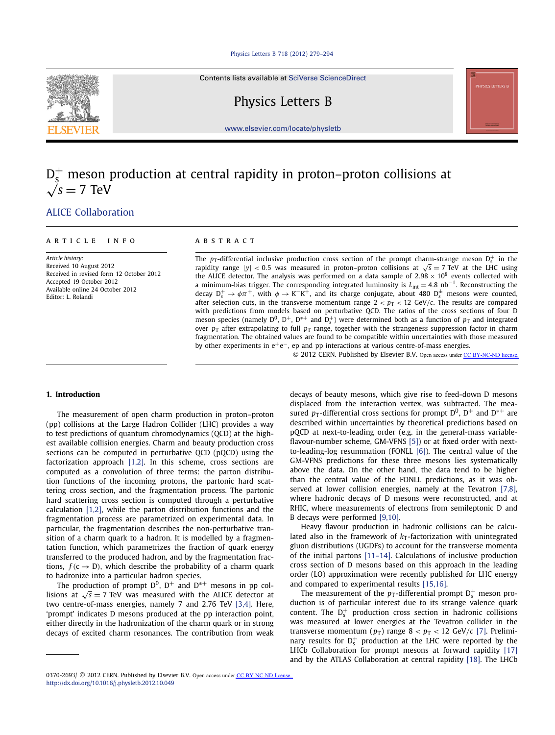Contents lists available at [SciVerse ScienceDirect](http://www.ScienceDirect.com/)

Physics Letters B

[www.elsevier.com/locate/physletb](http://www.elsevier.com/locate/physletb)

# $\mathsf{D}^{\mathsf{+}}_{\underline{\mathsf{S}}}$  meson production at central rapidity in proton–proton collisions at  $\sqrt{s}$  = 7 TeV

# [.ALICE Collaboration](#page-11-0)

#### article info abstract

*Article history:* Received 10 August 2012 Received in revised form 12 October 2012 Accepted 19 October 2012 Available online 24 October 2012 Editor: L. Rolandi

The  $p_T$ -differential inclusive production cross section of the prompt charm-strange meson  $D_s^+$  in the rapidity range  $|y| < 0.5$  was measured in proton–proton collisions at  $\sqrt{s} = 7$  TeV at the LHC using the ALICE detector. The analysis was performed on a data sample of  $2.98 \times 10^8$  events collected with a minimum-bias trigger. The corresponding integrated luminosity is *<sup>L</sup>*int <sup>=</sup> <sup>4</sup>*.*8 nb<sup>−</sup>1. Reconstructing the decay  $D_s^+ \to \phi \pi^+$ , with  $\phi \to K^- K^+$ , and its charge conjugate, about 480  $D_s^{\pm}$  mesons were counted, after selection cuts, in the transverse momentum range  $2 < p_T < 12$  GeV/*c*. The results are compared with predictions from models based on perturbative QCD. The ratios of the cross sections of four D meson species (namely  $D^0$ ,  $D^+$ ,  $D^{*+}$  and  $D_s^+$ ) were determined both as a function of  $p_T$  and integrated over  $p_T$  after extrapolating to full  $p_T$  range, together with the strangeness suppression factor in charm fragmentation. The obtained values are found to be compatible within uncertainties with those measured by other experiments in  $e^+e^-$ , ep and pp interactions at various centre-of-mass energies.

© 2012 CERN. Published by Elsevier B.V. Open access under [CC BY-NC-ND license.](http://creativecommons.org/licenses/by-nc-nd/4.0/)

### **1. Introduction**

The measurement of open charm production in proton–proton (pp) collisions at the Large Hadron Collider (LHC) provides a way to test predictions of quantum chromodynamics (QCD) at the highest available collision energies. Charm and beauty production cross sections can be computed in perturbative QCD (pQCD) using the factorization approach [\[1,2\].](#page-10-0) In this scheme, cross sections are computed as a convolution of three terms: the parton distribution functions of the incoming protons, the partonic hard scattering cross section, and the fragmentation process. The partonic hard scattering cross section is computed through a perturbative calculation [\[1,2\],](#page-10-0) while the parton distribution functions and the fragmentation process are parametrized on experimental data. In particular, the fragmentation describes the non-perturbative transition of a charm quark to a hadron. It is modelled by a fragmentation function, which parametrizes the fraction of quark energy transferred to the produced hadron, and by the fragmentation fractions,  $f(c \rightarrow D)$ , which describe the probability of a charm quark to hadronize into a particular hadron species.

The production of prompt  $D^0$ ,  $D^+$  and  $D^{*+}$  mesons in pp collisions at  $\sqrt{s}$  = 7 TeV was measured with the ALICE detector at two centre-of-mass energies, namely 7 and 2.76 TeV [\[3,4\].](#page-10-0) Here, 'prompt' indicates D mesons produced at the pp interaction point, either directly in the hadronization of the charm quark or in strong decays of excited charm resonances. The contribution from weak decays of beauty mesons, which give rise to feed-down D mesons displaced from the interaction vertex, was subtracted. The measured *p*<sub>T</sub>-differential cross sections for prompt  $D^0$ ,  $D^+$  and  $D^{*+}$  are described within uncertainties by theoretical predictions based on pQCD at next-to-leading order (e.g. in the general-mass variableflavour-number scheme, GM-VFNS [\[5\]\)](#page-10-0) or at fixed order with nextto-leading-log resummation (FONLL [\[6\]\)](#page-10-0). The central value of the GM-VFNS predictions for these three mesons lies systematically above the data. On the other hand, the data tend to be higher than the central value of the FONLL predictions, as it was observed at lower collision energies, namely at the Tevatron [\[7,8\],](#page-10-0) where hadronic decays of D mesons were reconstructed, and at RHIC, where measurements of electrons from semileptonic D and B decays were performed [\[9,10\].](#page-10-0)

Heavy flavour production in hadronic collisions can be calculated also in the framework of  $k<sub>T</sub>$ -factorization with unintegrated gluon distributions (UGDFs) to account for the transverse momenta of the initial partons [\[11–14\].](#page-10-0) Calculations of inclusive production cross section of D mesons based on this approach in the leading order (LO) approximation were recently published for LHC energy and compared to experimental results [\[15,16\].](#page-10-0)

The measurement of the  $p_T$ -differential prompt  $D_s^+$  meson production is of particular interest due to its strange valence quark content. The  $D_s^+$  production cross section in hadronic collisions was measured at lower energies at the Tevatron collider in the transverse momentum ( $p_T$ ) range  $8 < p_T < 12$  GeV/*c* [\[7\].](#page-10-0) Preliminary results for  $D_s^+$  production at the LHC were reported by the LHCb Collaboration for prompt mesons at forward rapidity [\[17\]](#page-10-0) and by the ATLAS Collaboration at central rapidity [\[18\].](#page-10-0) The LHCb

<span id="page-0-0"></span>

<sup>0370-2693/ © 2012</sup> CERN. Published by Elsevier B.V. Open access under [CC BY-NC-ND license.](http://creativecommons.org/licenses/by-nc-nd/4.0/) <http://dx.doi.org/10.1016/j.physletb.2012.10.049>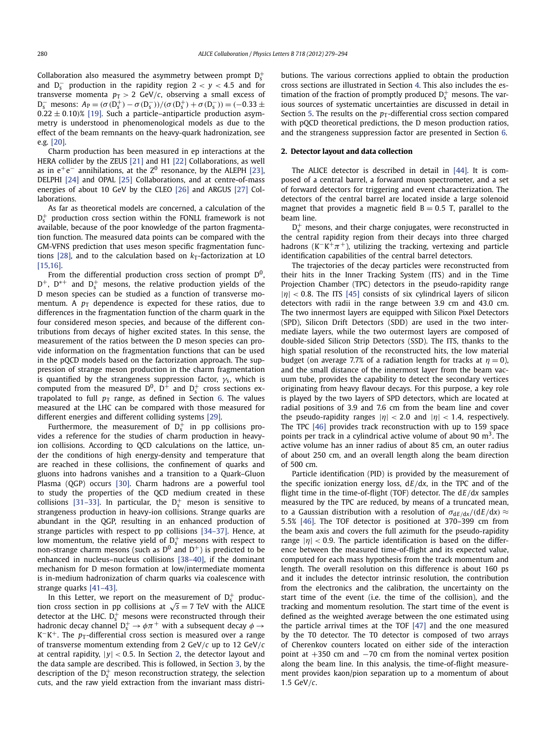<span id="page-1-0"></span>Collaboration also measured the asymmetry between prompt  $\mathsf{D}^+_{\mathsf{S}}$ and D− <sup>s</sup> production in the rapidity region 2 *< y <* 4*.*5 and for transverse momenta  $p_T > 2$  GeV/*c*, observing a small excess of  $D_s^-$  mesons:  $A_P = (σ(D_s^+) - σ(D_s^-))/(σ(D_s^+) + σ(D_s^-)) = (-0.33 \pm 0.000)$  $0.22 \pm 0.10$ <sup>%</sup> [\[19\].](#page-10-0) Such a particle–antiparticle production asymmetry is understood in phenomenological models as due to the effect of the beam remnants on the heavy-quark hadronization, see e.g. [\[20\].](#page-10-0)

Charm production has been measured in ep interactions at the HERA collider by the ZEUS [\[21\]](#page-10-0) and H1 [\[22\]](#page-10-0) Collaborations, as well as in  $e^+e^-$  annihilations, at the  $Z^0$  resonance, by the ALEPH [\[23\],](#page-10-0) DELPHI [\[24\]](#page-10-0) and OPAL [\[25\]](#page-10-0) Collaborations, and at centre-of-mass energies of about 10 GeV by the CLEO [\[26\]](#page-10-0) and ARGUS [\[27\]](#page-10-0) Collaborations.

As far as theoretical models are concerned, a calculation of the  $D_s^+$  production cross section within the FONLL framework is not available, because of the poor knowledge of the parton fragmentation function. The measured data points can be compared with the GM-VFNS prediction that uses meson specific fragmentation functions  $[28]$ , and to the calculation based on  $k<sub>T</sub>$ -factorization at LO [\[15,16\].](#page-10-0)

From the differential production cross section of prompt  $D^0$ ,  $D^{+}$ ,  $D^{*+}$  and  $D_s^{+}$  mesons, the relative production yields of the D meson species can be studied as a function of transverse momentum. A  $p_T$  dependence is expected for these ratios, due to differences in the fragmentation function of the charm quark in the four considered meson species, and because of the different contributions from decays of higher excited states. In this sense, the measurement of the ratios between the D meson species can provide information on the fragmentation functions that can be used in the pQCD models based on the factorization approach. The suppression of strange meson production in the charm fragmentation is quantified by the strangeness suppression factor,  $\gamma_s$ , which is computed from the measured  $D^0$ ,  $D^+$  and  $D_s^+$  cross sections extrapolated to full  $p_T$  range, as defined in Section [6.](#page-6-0) The values measured at the LHC can be compared with those measured for different energies and different colliding systems [\[29\].](#page-10-0)

Furthermore, the measurement of  $D_s^+$  in pp collisions provides a reference for the studies of charm production in heavyion collisions. According to QCD calculations on the lattice, under the conditions of high energy-density and temperature that are reached in these collisions, the confinement of quarks and gluons into hadrons vanishes and a transition to a Quark–Gluon Plasma (QGP) occurs [\[30\].](#page-10-0) Charm hadrons are a powerful tool to study the properties of the QCD medium created in these collisions [\[31–33\].](#page-10-0) In particular, the  $D_s^+$  meson is sensitive to strangeness production in heavy-ion collisions. Strange quarks are abundant in the QGP, resulting in an enhanced production of strange particles with respect to pp collisions [\[34–37\].](#page-10-0) Hence, at low momentum, the relative yield of  $D_s^+$  mesons with respect to non-strange charm mesons (such as  $D^0$  and  $D^+$ ) is predicted to be enhanced in nucleus–nucleus collisions [\[38–40\],](#page-11-0) if the dominant mechanism for D meson formation at low/intermediate momenta is in-medium hadronization of charm quarks via coalescence with strange quarks [\[41–43\].](#page-11-0)

In this Letter, we report on the measurement of  $D_s^+$  production cross section in pp collisions at  $\sqrt{s} = 7$  TeV with the ALICE detector at the LHC.  $D_{\rm s}^+$  mesons were reconstructed through their hadronic decay channel  $D_s^+ \to \phi \pi^+$  with a subsequent decay  $\phi \to$  $K-K^+$ . The  $p_T$ -differential cross section is measured over a range of transverse momentum extending from 2 GeV*/c* up to 12 GeV*/c* at central rapidity, |*y*| *<* 0*.*5. In Section 2, the detector layout and the data sample are described. This is followed, in Section [3,](#page-2-0) by the description of the  $D_s^+$  meson reconstruction strategy, the selection cuts, and the raw yield extraction from the invariant mass distributions. The various corrections applied to obtain the production cross sections are illustrated in Section [4.](#page-4-0) This also includes the estimation of the fraction of promptly produced  $D_s^+$  mesons. The various sources of systematic uncertainties are discussed in detail in Section [5.](#page-5-0) The results on the  $p_T$ -differential cross section compared with pQCD theoretical predictions, the D meson production ratios, and the strangeness suppression factor are presented in Section [6.](#page-6-0)

#### **2. Detector layout and data collection**

The ALICE detector is described in detail in [\[44\].](#page-11-0) It is composed of a central barrel, a forward muon spectrometer, and a set of forward detectors for triggering and event characterization. The detectors of the central barrel are located inside a large solenoid magnet that provides a magnetic field  $B = 0.5$  T, parallel to the beam line.

 $D_s^+$  mesons, and their charge conjugates, were reconstructed in the central rapidity region from their decays into three charged hadrons (K<sup>-</sup>K<sup>+</sup> $\pi$ <sup>+</sup>), utilizing the tracking, vertexing and particle identification capabilities of the central barrel detectors.

The trajectories of the decay particles were reconstructed from their hits in the Inner Tracking System (ITS) and in the Time Projection Chamber (TPC) detectors in the pseudo-rapidity range |*η*| *<* <sup>0</sup>*.*8. The ITS [\[45\]](#page-11-0) consists of six cylindrical layers of silicon detectors with radii in the range between 3.9 cm and 43.0 cm. The two innermost layers are equipped with Silicon Pixel Detectors (SPD), Silicon Drift Detectors (SDD) are used in the two intermediate layers, while the two outermost layers are composed of double-sided Silicon Strip Detectors (SSD). The ITS, thanks to the high spatial resolution of the reconstructed hits, the low material budget (on average 7.7% of a radiation length for tracks at  $\eta = 0$ ), and the small distance of the innermost layer from the beam vacuum tube, provides the capability to detect the secondary vertices originating from heavy flavour decays. For this purpose, a key role is played by the two layers of SPD detectors, which are located at radial positions of 3.9 and 7.6 cm from the beam line and cover the pseudo-rapidity ranges  $|\eta| < 2.0$  and  $|\eta| < 1.4$ , respectively. The TPC [\[46\]](#page-11-0) provides track reconstruction with up to 159 space points per track in a cylindrical active volume of about 90  $m<sup>3</sup>$ . The active volume has an inner radius of about 85 cm, an outer radius of about 250 cm, and an overall length along the beam direction of 500 cm.

Particle identification (PID) is provided by the measurement of the specific ionization energy loss, d*E/*d*x*, in the TPC and of the flight time in the time-of-flight (TOF) detector. The d*E/*d*x* samples measured by the TPC are reduced, by means of a truncated mean, to a Gaussian distribution with a resolution of  $\sigma_{dE/dx}/(dE/dx) \approx$ 5*.*5% [\[46\].](#page-11-0) The TOF detector is positioned at 370–399 cm from the beam axis and covers the full azimuth for the pseudo-rapidity range  $|\eta|$  < 0.9. The particle identification is based on the difference between the measured time-of-flight and its expected value, computed for each mass hypothesis from the track momentum and length. The overall resolution on this difference is about 160 ps and it includes the detector intrinsic resolution, the contribution from the electronics and the calibration, the uncertainty on the start time of the event (i.e. the time of the collision), and the tracking and momentum resolution. The start time of the event is defined as the weighted average between the one estimated using the particle arrival times at the TOF [\[47\]](#page-11-0) and the one measured by the T0 detector. The T0 detector is composed of two arrays of Cherenkov counters located on either side of the interaction point at +350 cm and −70 cm from the nominal vertex position along the beam line. In this analysis, the time-of-flight measurement provides kaon/pion separation up to a momentum of about 1*.*5 GeV*/c*.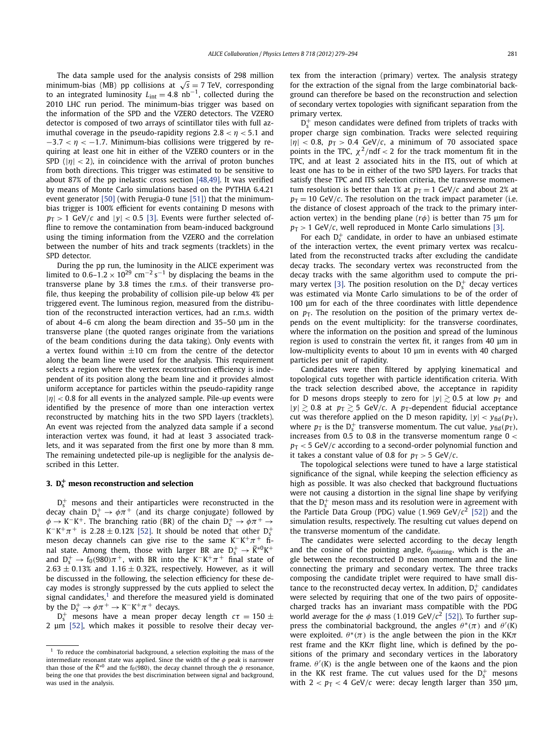<span id="page-2-0"></span>The data sample used for the analysis consists of 298 million minimum-bias (MB) pp collisions at  $\sqrt{s}$  = 7 TeV, corresponding to an integrated luminosity  $L_{int} = 4.8 \text{ nb}^{-1}$ , collected during the 2010 LHC run period. The minimum-bias trigger was based on the information of the SPD and the VZERO detectors. The VZERO detector is composed of two arrays of scintillator tiles with full azimuthal coverage in the pseudo-rapidity regions  $2.8 < \eta < 5.1$  and −3*.*<sup>7</sup> *< η <* −1*.*7. Minimum-bias collisions were triggered by requiring at least one hit in either of the VZERO counters or in the SPD ( $|\eta|$  < 2), in coincidence with the arrival of proton bunches from both directions. This trigger was estimated to be sensitive to about 87% of the pp inelastic cross section [\[48,49\].](#page-11-0) It was verified by means of Monte Carlo simulations based on the PYTHIA 6.4.21 event generator [\[50\]](#page-11-0) (with Perugia-0 tune [\[51\]\)](#page-11-0) that the minimumbias trigger is 100% efficient for events containing D mesons with  $p_T > 1$  GeV/*c* and  $|y| < 0.5$  [\[3\].](#page-10-0) Events were further selected offline to remove the contamination from beam-induced background using the timing information from the VZERO and the correlation between the number of hits and track segments (tracklets) in the SPD detector.

During the pp run, the luminosity in the ALICE experiment was limited to  $0.6-1.2 \times 10^{29}$  cm<sup>-2</sup> s<sup>-1</sup> by displacing the beams in the transverse plane by 3.8 times the r.m.s. of their transverse profile, thus keeping the probability of collision pile-up below 4% per triggered event. The luminous region, measured from the distribution of the reconstructed interaction vertices, had an r.m.s. width of about 4–6 cm along the beam direction and 35–50 μm in the transverse plane (the quoted ranges originate from the variations of the beam conditions during the data taking). Only events with a vertex found within  $\pm 10$  cm from the centre of the detector along the beam line were used for the analysis. This requirement selects a region where the vertex reconstruction efficiency is independent of its position along the beam line and it provides almost uniform acceptance for particles within the pseudo-rapidity range  $|\eta|$  < 0.8 for all events in the analyzed sample. Pile-up events were identified by the presence of more than one interaction vertex reconstructed by matching hits in the two SPD layers (tracklets). An event was rejected from the analyzed data sample if a second interaction vertex was found, it had at least 3 associated tracklets, and it was separated from the first one by more than 8 mm. The remaining undetected pile-up is negligible for the analysis described in this Letter.

# **3. D+ <sup>s</sup> meson reconstruction and selection**

 $D_s^+$  mesons and their antiparticles were reconstructed in the decay chain  $D_s^+ \rightarrow \phi \pi^+$  (and its charge conjugate) followed by  $\phi \to K^- K^+$ . The branching ratio (BR) of the chain  $D_s^+ \to \phi \pi^+ \to$  $K^-K^+\pi^+$  is 2.28  $\pm$  0.12% [\[52\].](#page-11-0) It should be noted that other  $D_s^+$ meson decay channels can give rise to the same K−K<sup>+</sup>*π*<sup>+</sup> final state. Among them, those with larger BR are  $D_s^+ \rightarrow \overline{K}^{*0} K^+$ and  $D_s^+ \rightarrow f_0(980)\pi^+$ , with BR into the K<sup>-</sup>K<sup>+</sup> $\pi^+$  final state of  $2.63 \pm 0.13$ % and  $1.16 \pm 0.32$ %, respectively. However, as it will be discussed in the following, the selection efficiency for these decay modes is strongly suppressed by the cuts applied to select the signal candidates, $<sup>1</sup>$  and therefore the measured yield is dominated</sup> by the  $D_s^+ \to \phi \pi^+ \to K^- K^+ \pi^+$  decays.

 $D_s^+$  mesons have a mean proper decay length  $c\tau = 150 \pm 100$ 2 μm [\[52\],](#page-11-0) which makes it possible to resolve their decay vertex from the interaction (primary) vertex. The analysis strategy for the extraction of the signal from the large combinatorial background can therefore be based on the reconstruction and selection of secondary vertex topologies with significant separation from the primary vertex.

 $D_{\rm s}^+$  meson candidates were defined from triplets of tracks with proper charge sign combination. Tracks were selected requiring  $|\eta|$  < 0.8,  $p_T > 0.4$  GeV/*c*, a minimum of 70 associated space points in the TPC,  $\chi^2$ /ndf < 2 for the track momentum fit in the TPC, and at least 2 associated hits in the ITS, out of which at least one has to be in either of the two SPD layers. For tracks that satisfy these TPC and ITS selection criteria, the transverse momentum resolution is better than 1% at  $p_T = 1$  GeV/*c* and about 2% at  $p_T = 10$  GeV/*c*. The resolution on the track impact parameter (i.e. the distance of closest approach of the track to the primary interaction vertex) in the bending plane  $(r\phi)$  is better than 75 µm for  $p_T > 1$  GeV/*c*, well reproduced in Monte Carlo simulations [\[3\].](#page-10-0)

For each  $D_s^+$  candidate, in order to have an unbiased estimate of the interaction vertex, the event primary vertex was recalculated from the reconstructed tracks after excluding the candidate decay tracks. The secondary vertex was reconstructed from the decay tracks with the same algorithm used to compute the pri-mary vertex [\[3\].](#page-10-0) The position resolution on the  $D_s^+$  decay vertices was estimated via Monte Carlo simulations to be of the order of 100 μm for each of the three coordinates with little dependence on  $p<sub>T</sub>$ . The resolution on the position of the primary vertex depends on the event multiplicity: for the transverse coordinates, where the information on the position and spread of the luminous region is used to constrain the vertex fit, it ranges from 40 μm in low-multiplicity events to about 10 μm in events with 40 charged particles per unit of rapidity.

Candidates were then filtered by applying kinematical and topological cuts together with particle identification criteria. With the track selection described above, the acceptance in rapidity for D mesons drops steeply to zero for  $|y| \gtrsim 0.5$  at low  $p_{\text{T}}$  and  $|y| \gtrsim 0.8$  at  $p_T \gtrsim 5$  GeV/*c*. A  $p_T$ -dependent fiducial acceptance cut was therefore applied on the D meson rapidity,  $|y| < y_{\text{fid}}(p_{\text{T}})$ , where  $p_{\text{T}}$  is the  $D_s^+$  transverse momentum. The cut value,  $y_{\text{fid}}(p_{\text{T}})$ , increases from 0.5 to 0.8 in the transverse momentum range 0 *<*  $p_T < 5$  GeV/*c* according to a second-order polynomial function and it takes a constant value of 0.8 for  $p_T > 5$  GeV/*c*.

The topological selections were tuned to have a large statistical significance of the signal, while keeping the selection efficiency as high as possible. It was also checked that background fluctuations were not causing a distortion in the signal line shape by verifying that the  $D_s^+$  meson mass and its resolution were in agreement with the Particle Data Group (PDG) value (1*.*969 GeV*/c*<sup>2</sup> [\[52\]\)](#page-11-0) and the simulation results, respectively. The resulting cut values depend on the transverse momentum of the candidate.

The candidates were selected according to the decay length and the cosine of the pointing angle,  $\theta_{pointing}$ , which is the angle between the reconstructed D meson momentum and the line connecting the primary and secondary vertex. The three tracks composing the candidate triplet were required to have small distance to the reconstructed decay vertex. In addition,  $D_S^+$  candidates were selected by requiring that one of the two pairs of oppositecharged tracks has an invariant mass compatible with the PDG world average for the  $\phi$  mass (1.019 GeV/ $c^2$  [\[52\]\)](#page-11-0). To further suppress the combinatorial background, the angles  $\theta^*(\pi)$  and  $\theta'(K)$ were exploited.  $\theta^*(\pi)$  is the angle between the pion in the KK $\pi$ rest frame and the KK $\pi$  flight line, which is defined by the positions of the primary and secondary vertices in the laboratory frame.  $\theta'(K)$  is the angle between one of the kaons and the pion in the KK rest frame. The cut values used for the  $D_s^+$  mesons with  $2 < p_T < 4$  GeV/*c* were: decay length larger than 350 µm,

 $1$  To reduce the combinatorial background, a selection exploiting the mass of the intermediate resonant state was applied. Since the width of the *φ* peak is narrower than those of the  $\overline{K}^{*0}$  and the f<sub>0</sub>(980), the decay channel through the  $\phi$  resonance, being the one that provides the best discrimination between signal and background, was used in the analysis.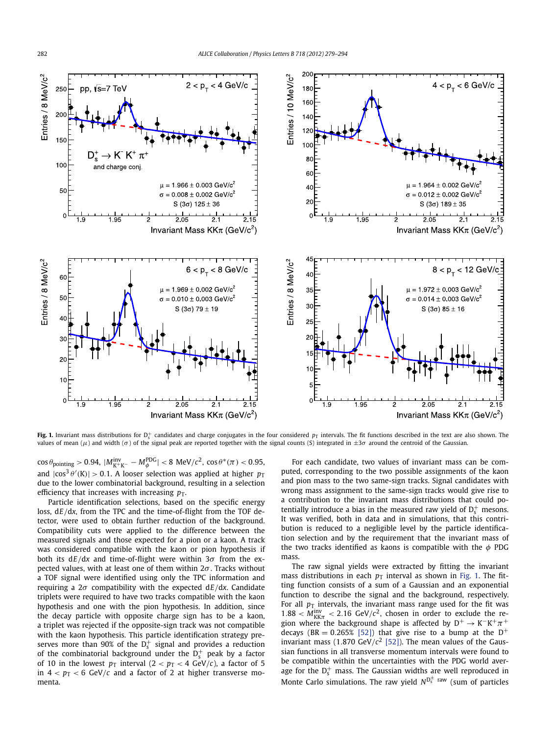

**Fig. 1.** Invariant mass distributions for  $D_5^+$  candidates and charge conjugates in the four considered  $p_{\rm T}$  intervals. The fit functions described in the text are also shown. The values of mean ( $\mu$ ) and width ( $\sigma$ ) of the signal peak are reported together with the signal counts (S) integrated in  $\pm 3\sigma$  around the centroid of the Gaussian.

 $\cos\theta_{\rm pointing} > 0.94$ ,  $|M_{\rm K^+K^-}^{\rm inv} - M_\phi^{\rm PDG}| < 8 \,\, {\rm MeV/c^2}, \, \cos\theta^*(\pi) < 0.95,$ and  $|\cos^3 \theta'(K)| > 0.1$ . A looser selection was applied at higher  $p_T$ due to the lower combinatorial background, resulting in a selection efficiency that increases with increasing  $p_T$ .

Particle identification selections, based on the specific energy loss, d*E/*d*x*, from the TPC and the time-of-flight from the TOF detector, were used to obtain further reduction of the background. Compatibility cuts were applied to the difference between the measured signals and those expected for a pion or a kaon. A track was considered compatible with the kaon or pion hypothesis if both its d*E/*d*x* and time-of-flight were within 3*σ* from the expected values, with at least one of them within 2*σ* . Tracks without a TOF signal were identified using only the TPC information and requiring a 2*σ* compatibility with the expected d*E/*d*x*. Candidate triplets were required to have two tracks compatible with the kaon hypothesis and one with the pion hypothesis. In addition, since the decay particle with opposite charge sign has to be a kaon, a triplet was rejected if the opposite-sign track was not compatible with the kaon hypothesis. This particle identification strategy preserves more than 90% of the  $D_s^+$  signal and provides a reduction of the combinatorial background under the  $D_S^+$  peak by a factor of 10 in the lowest  $p_T$  interval  $(2 < p_T < 4 \text{ GeV}/c)$ , a factor of 5 in  $4 < p_T < 6$  GeV/*c* and a factor of 2 at higher transverse momenta.

For each candidate, two values of invariant mass can be computed, corresponding to the two possible assignments of the kaon and pion mass to the two same-sign tracks. Signal candidates with wrong mass assignment to the same-sign tracks would give rise to a contribution to the invariant mass distributions that could potentially introduce a bias in the measured raw yield of  $D_s^+$  mesons. It was verified, both in data and in simulations, that this contribution is reduced to a negligible level by the particle identification selection and by the requirement that the invariant mass of the two tracks identified as kaons is compatible with the *φ* PDG mass.

The raw signal yields were extracted by fitting the invariant mass distributions in each  $p<sub>T</sub>$  interval as shown in Fig. 1. The fitting function consists of a sum of a Gaussian and an exponential function to describe the signal and the background, respectively. For all  $p_T$  intervals, the invariant mass range used for the fit was  $1.88 < M_{\text{KK}\pi}^{\text{inv}} < 2.16 \text{ GeV}/c^2$ , chosen in order to exclude the region where the background shape is affected by  $D^+ \rightarrow K^-K^+\pi^+$ decays (BR =  $0.265\%$  [\[52\]\)](#page-11-0) that give rise to a bump at the D<sup>+</sup> invariant mass (1*.*870 GeV*/c*<sup>2</sup> [\[52\]\)](#page-11-0). The mean values of the Gaussian functions in all transverse momentum intervals were found to be compatible within the uncertainties with the PDG world average for the  $D_s^+$  mass. The Gaussian widths are well reproduced in Monte Carlo simulations. The raw yield  $N^{D_s^{\pm}}$  raw (sum of particles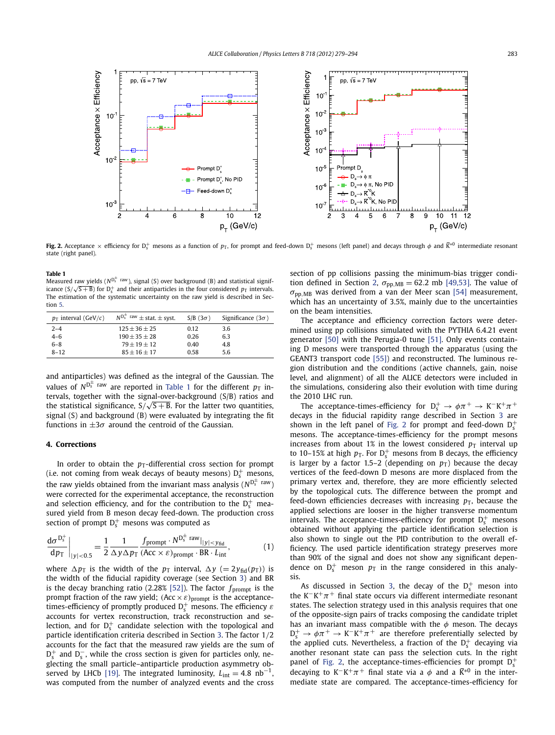<span id="page-4-0"></span>

**Fig. 2.** Acceptance  $\times$  efficiency for  $D_s^+$  mesons as a function of  $p_{\rm T}$ , for prompt and feed-down  $D_s^+$  mesons (left panel) and decays through  $\phi$  and  $\bar{\mathsf{K}}^{*0}$  intermediate resonant state (right panel).

#### **Table 1**

Measured raw yields (N<sup>D'sraw</sup>), signal (S) over background (B) and statistical significance  $(S/\sqrt{S+B})$  for  $D_s^+$  and their antiparticles in the four considered  $p_T$  intervals. The estimation of the systematic uncertainty on the raw yield is described in Section [5.](#page-5-0)

| $p_T$ interval (GeV/c) | $N^{\mathsf{D}_\mathsf{S}^{\pm}}$ raw $\pm$ stat. $\pm$ syst. | $S/B(3\sigma)$ | Significance ( $3\sigma$ ) |
|------------------------|---------------------------------------------------------------|----------------|----------------------------|
| $2 - 4$                | $125 + 36 + 25$                                               | 0.12           | 3.6                        |
| $4 - 6$                | $190 + 35 + 28$                                               | 0.26           | 6.3                        |
| $6 - 8$                | $79 + 19 + 12$                                                | 0.40           | 4.8                        |
| $8 - 12$               | $85 + 16 + 17$                                                | 0.58           | 5.6                        |
|                        |                                                               |                |                            |

and antiparticles) was defined as the integral of the Gaussian. The values of  $N^{D^{\pm}_{S}}$  <sup>raw</sup> are reported in Table 1 for the different  $p_{T}$  intervals, together with the signal-over-background (S/B) ratios and the statistical significance,  $S/\sqrt{S+B}$ . For the latter two quantities, signal (S) and background (B) were evaluated by integrating the fit functions in  $\pm 3\sigma$  around the centroid of the Gaussian.

#### **4. Corrections**

In order to obtain the  $p_T$ -differential cross section for prompt (i.e. not coming from weak decays of beauty mesons)  $\mathsf{D}^+_{{\mathsf{S}}}$  mesons, the raw yields obtained from the invariant mass analysis (N<sup>D±</sup> <sup>raw</sup>) were corrected for the experimental acceptance, the reconstruction and selection efficiency, and for the contribution to the  $D_S^+$  measured yield from B meson decay feed-down. The production cross section of prompt  $D_s^+$  mesons was computed as

$$
\left. \frac{\mathrm{d}\sigma^{D_s^+}}{\mathrm{d}p_{\mathrm{T}}} \right|_{|y| < 0.5} = \frac{1}{2} \frac{1}{\Delta y \Delta p_{\mathrm{T}}} \frac{f_{\mathrm{prompt}} \cdot N^{D_s^+ \mathrm{ raw}}|_{|y| < y_{\mathrm{fid}}}}{\left(\mathrm{Acc} \times \varepsilon\right)_{\mathrm{prompt}} \cdot \mathrm{BR} \cdot L_{\mathrm{int}}},\tag{1}
$$

where  $\Delta p_{\text{T}}$  is the width of the  $p_{\text{T}}$  interval,  $\Delta y$  (= 2 $y_{\text{fid}}(p_{\text{T}})$ ) is the width of the fiducial rapidity coverage (see Section [3\)](#page-2-0) and BR is the decay branching ratio (2.28% [\[52\]\)](#page-11-0). The factor *f*prompt is the prompt fraction of the raw yield; *(*Acc×*ε)*prompt is the acceptancetimes-efficiency of promptly produced  $D_s^+$  mesons. The efficiency  $\varepsilon$ accounts for vertex reconstruction, track reconstruction and selection, and for  $D_s^+$  candidate selection with the topological and particle identification criteria described in Section [3.](#page-2-0) The factor 1*/*2 accounts for the fact that the measured raw yields are the sum of  $D_s^+$  and  $D_s^-$ , while the cross section is given for particles only, neglecting the small particle–antiparticle production asymmetry ob-served by LHCb [\[19\].](#page-10-0) The integrated luminosity,  $L_{int} = 4.8 \text{ nb}^{-1}$ , was computed from the number of analyzed events and the cross section of pp collisions passing the minimum-bias trigger condi-tion defined in Section [2,](#page-1-0)  $\sigma_{\text{DD,MB}} = 62.2$  mb [\[49,53\].](#page-11-0) The value of *σ*pp*,*MB was derived from a van der Meer scan [\[54\]](#page-11-0) measurement, which has an uncertainty of 3.5%, mainly due to the uncertainties on the beam intensities.

The acceptance and efficiency correction factors were determined using pp collisions simulated with the PYTHIA 6.4.21 event generator [\[50\]](#page-11-0) with the Perugia-0 tune [\[51\].](#page-11-0) Only events containing D mesons were transported through the apparatus (using the GEANT3 transport code [\[55\]\)](#page-11-0) and reconstructed. The luminous region distribution and the conditions (active channels, gain, noise level, and alignment) of all the ALICE detectors were included in the simulations, considering also their evolution with time during the 2010 LHC run.

The acceptance-times-efficiency for  $D_s^+ \rightarrow \phi \pi^+ \rightarrow K^- K^+ \pi^+$ decays in the fiducial rapidity range described in Section [3](#page-2-0) are shown in the left panel of Fig. 2 for prompt and feed-down  $D_s^+$ mesons. The acceptance-times-efficiency for the prompt mesons increases from about 1% in the lowest considered  $p<sub>T</sub>$  interval up to 10–15% at high  $p_{\text{T}}$ . For  $\mathsf{D}_\text{s}^+$  mesons from B decays, the efficiency is larger by a factor 1.5–2 (depending on  $p<sub>T</sub>$ ) because the decay vertices of the feed-down D mesons are more displaced from the primary vertex and, therefore, they are more efficiently selected by the topological cuts. The difference between the prompt and feed-down efficiencies decreases with increasing  $p<sub>T</sub>$ , because the applied selections are looser in the higher transverse momentum intervals. The acceptance-times-efficiency for prompt  $D_s^+$  mesons obtained without applying the particle identification selection is also shown to single out the PID contribution to the overall efficiency. The used particle identification strategy preserves more than 90% of the signal and does not show any significant dependence on  $D_s^+$  meson  $p_T$  in the range considered in this analysis.

As discussed in Section [3,](#page-2-0) the decay of the  $D_s^+$  meson into the K−K<sup>+</sup>*π*<sup>+</sup> final state occurs via different intermediate resonant states. The selection strategy used in this analysis requires that one of the opposite-sign pairs of tracks composing the candidate triplet has an invariant mass compatible with the *φ* meson. The decays  $D_s^+ \to \phi \pi^+ \to K^- K^+ \pi^+$  are therefore preferentially selected by the applied cuts. Nevertheless, a fraction of the  $D_s^+$  decaying via another resonant state can pass the selection cuts. In the right panel of Fig. 2, the acceptance-times-efficiencies for prompt  $D_s^+$ decaying to K<sup>-</sup>K<sup>+</sup> $\pi$ <sup>+</sup> final state via a  $\phi$  and a  $\bar{K}^{*0}$  in the intermediate state are compared. The acceptance-times-efficiency for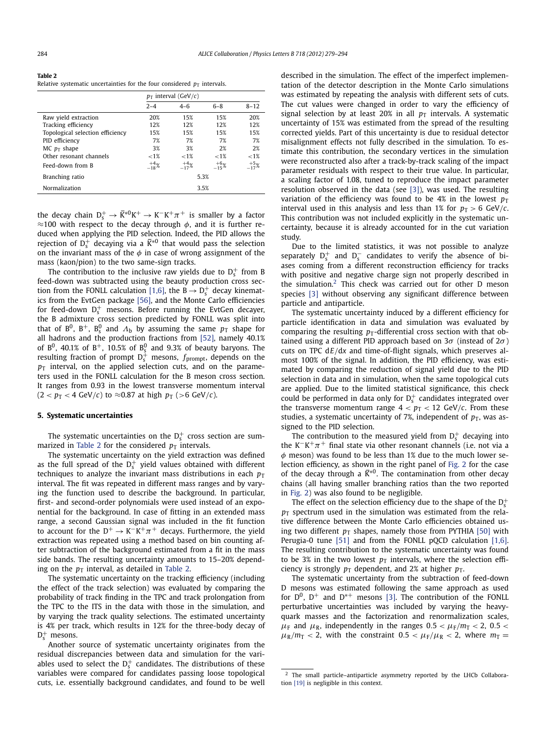<span id="page-5-0"></span>**Table 2** Relative systematic uncertainties for the four considered  $p<sub>T</sub>$  intervals.

|                                  | $p_T$ interval (GeV/c) |                 |                 |                 |
|----------------------------------|------------------------|-----------------|-----------------|-----------------|
|                                  | $2 - 4$                | $4 - 6$         | $6 - 8$         | $8 - 12$        |
| Raw yield extraction             | 20%                    | 15%             | 15%             | 20%             |
| Tracking efficiency              | 12%                    | 12%             | 12%             | 12%             |
| Topological selection efficiency | 15%                    | 15%             | 15%             | 15%             |
| PID efficiency                   | 7%                     | 7%              | 7%              | 7%              |
| $MC$ $p_T$ shape                 | 3%                     | 3%              | 2%              | 2%              |
| Other resonant channels          | ${<}1%$                | ${<}1%$         | ${<}1%$         | ${<}1%$         |
| Feed-down from B                 | $^{+4}_{-18}$ %        | $^{+4}_{-17}$ % | $^{+6}_{-15}$ % | $^{+5}_{-17}$ % |
| Branching ratio                  |                        | 5.3%            |                 |                 |
| Normalization                    |                        | 3.5%            |                 |                 |

the decay chain  $D_s^+ \to \overline{K}^{*0} K^+ \to K^- K^+ \pi^+$  is smaller by a factor  $\approx$ 100 with respect to the decay through  $\phi$ , and it is further reduced when applying the PID selection. Indeed, the PID allows the rejection of  $D_s^+$  decaying via a  $\bar{K}^{*0}$  that would pass the selection on the invariant mass of the  $\phi$  in case of wrong assignment of the mass (kaon/pion) to the two same-sign tracks.

The contribution to the inclusive raw yields due to  $D_s^+$  from B feed-down was subtracted using the beauty production cross sec-tion from the FONLL calculation [\[1,6\],](#page-10-0) the  $B \rightarrow D_s^+$  decay kinematics from the EvtGen package [\[56\],](#page-11-0) and the Monte Carlo efficiencies for feed-down  $\mathsf{D^+_s}$  mesons. Before running the EvtGen decayer, the B admixture cross section predicted by FONLL was split into that of  $B^0$ ,  $B^+$ ,  $B_s^0$  and  $\Lambda_b$  by assuming the same  $p_T$  shape for all hadrons and the production fractions from [\[52\],](#page-11-0) namely 40.1% of B<sup>0</sup>, 40.1% of B<sup>+</sup>, 10.5% of B $_{\rm s}^0$  and 9.3% of beauty baryons. The resulting fraction of prompt D<sub>s</sub> mesons,  $f_{\mathsf{prompt}}$ , depends on the  $p_T$  interval, on the applied selection cuts, and on the parameters used in the FONLL calculation for the B meson cross section. It ranges from 0.93 in the lowest transverse momentum interval  $(2 < p_T < 4 \text{ GeV}/c)$  to ≈0.87 at high  $p_T$  (>6 GeV/*c*).

#### **5. Systematic uncertainties**

The systematic uncertainties on the  $D_S^+$  cross section are summarized in Table 2 for the considered  $p_T$  intervals.

The systematic uncertainty on the yield extraction was defined as the full spread of the  $D_s^+$  yield values obtained with different techniques to analyze the invariant mass distributions in each  $p<sub>T</sub>$ interval. The fit was repeated in different mass ranges and by varying the function used to describe the background. In particular, first- and second-order polynomials were used instead of an exponential for the background. In case of fitting in an extended mass range, a second Gaussian signal was included in the fit function to account for the D<sup>+</sup>  $\rightarrow$  K<sup>-</sup>K<sup>+</sup> $\pi$ <sup>+</sup> decays. Furthermore, the yield extraction was repeated using a method based on bin counting after subtraction of the background estimated from a fit in the mass side bands. The resulting uncertainty amounts to 15–20% depending on the  $p<sub>T</sub>$  interval, as detailed in Table 2.

The systematic uncertainty on the tracking efficiency (including the effect of the track selection) was evaluated by comparing the probability of track finding in the TPC and track prolongation from the TPC to the ITS in the data with those in the simulation, and by varying the track quality selections. The estimated uncertainty is 4% per track, which results in 12% for the three-body decay of  $D_s^+$  mesons.

Another source of systematic uncertainty originates from the residual discrepancies between data and simulation for the variables used to select the  $D_s^+$  candidates. The distributions of these variables were compared for candidates passing loose topological cuts, i.e. essentially background candidates, and found to be well described in the simulation. The effect of the imperfect implementation of the detector description in the Monte Carlo simulations was estimated by repeating the analysis with different sets of cuts. The cut values were changed in order to vary the efficiency of signal selection by at least 20% in all  $p_T$  intervals. A systematic uncertainty of 15% was estimated from the spread of the resulting corrected yields. Part of this uncertainty is due to residual detector misalignment effects not fully described in the simulation. To estimate this contribution, the secondary vertices in the simulation were reconstructed also after a track-by-track scaling of the impact parameter residuals with respect to their true value. In particular, a scaling factor of 1.08, tuned to reproduce the impact parameter resolution observed in the data (see [\[3\]\)](#page-10-0), was used. The resulting variation of the efficiency was found to be 4% in the lowest  $p_T$ interval used in this analysis and less than 1% for  $p_T > 6$  GeV/*c*. This contribution was not included explicitly in the systematic uncertainty, because it is already accounted for in the cut variation study.

Due to the limited statistics, it was not possible to analyze separately  $D_s^+$  and  $D_s^-$  candidates to verify the absence of biases coming from a different reconstruction efficiency for tracks with positive and negative charge sign not properly described in the simulation.<sup>2</sup> This check was carried out for other D meson species [\[3\]](#page-10-0) without observing any significant difference between particle and antiparticle.

The systematic uncertainty induced by a different efficiency for particle identification in data and simulation was evaluated by comparing the resulting  $p_T$ -differential cross section with that obtained using a different PID approach based on 3*σ* (instead of 2*σ* ) cuts on TPC d*E/*d*x* and time-of-flight signals, which preserves almost 100% of the signal. In addition, the PID efficiency, was estimated by comparing the reduction of signal yield due to the PID selection in data and in simulation, when the same topological cuts are applied. Due to the limited statistical significance, this check could be performed in data only for  $D_s^+$  candidates integrated over the transverse momentum range  $4 < p_T < 12$  GeV/*c*. From these studies, a systematic uncertainty of 7%, independent of  $p<sub>T</sub>$ , was assigned to the PID selection.

The contribution to the measured yield from  $D_s^+$  decaying into the K−K<sup>+</sup>*π*<sup>+</sup> final state via other resonant channels (i.e. not via a *φ* meson) was found to be less than 1% due to the much lower selection efficiency, as shown in the right panel of [Fig. 2](#page-4-0) for the case of the decay through a  $\overline{K}^{*0}$ . The contamination from other decay chains (all having smaller branching ratios than the two reported in [Fig. 2\)](#page-4-0) was also found to be negligible.

The effect on the selection efficiency due to the shape of the  $D_s^+$  $p_T$  spectrum used in the simulation was estimated from the relative difference between the Monte Carlo efficiencies obtained using two different  $p<sub>T</sub>$  shapes, namely those from PYTHIA [\[50\]](#page-11-0) with Perugia-0 tune [\[51\]](#page-11-0) and from the FONLL pOCD calculation [\[1,6\].](#page-10-0) The resulting contribution to the systematic uncertainty was found to be 3% in the two lowest  $p<sub>T</sub>$  intervals, where the selection efficiency is strongly  $p_T$  dependent, and 2% at higher  $p_T$ .

The systematic uncertainty from the subtraction of feed-down D mesons was estimated following the same approach as used for  $D^0$ ,  $D^+$  and  $D^{*+}$  mesons [\[3\].](#page-10-0) The contribution of the FONLL perturbative uncertainties was included by varying the heavyquark masses and the factorization and renormalization scales,  $\mu$ <sub>F</sub> and  $\mu$ <sub>R</sub>, independently in the ranges 0.5  $< \mu$ <sub>F</sub>/*m*<sub>T</sub>  $<$  2, 0.5  $<$  $\mu_R/m_T < 2$ , with the constraint  $0.5 < \mu_F/\mu_R < 2$ , where  $m_T =$ 

<sup>2</sup> The small particle–antiparticle asymmetry reported by the LHCb Collaboration [\[19\]](#page-10-0) is negligible in this context.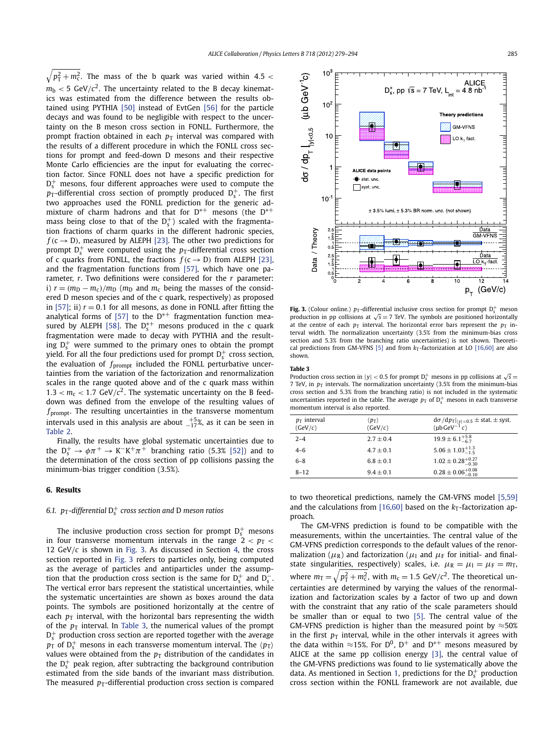<span id="page-6-0"></span> $\sqrt{p_{\rm T}^2 + m_{\rm c}^2}$ . The mass of the b quark was varied within 4.5  $<$  $m<sub>b</sub> < 5$  GeV/ $c<sup>2</sup>$ . The uncertainty related to the B decay kinematics was estimated from the difference between the results obtained using PYTHIA [\[50\]](#page-11-0) instead of EvtGen [\[56\]](#page-11-0) for the particle decays and was found to be negligible with respect to the uncertainty on the B meson cross section in FONLL. Furthermore, the prompt fraction obtained in each  $p<sub>T</sub>$  interval was compared with the results of a different procedure in which the FONLL cross sections for prompt and feed-down D mesons and their respective Monte Carlo efficiencies are the input for evaluating the correction factor. Since FONLL does not have a specific prediction for  $D_{\rm s}^+$  mesons, four different approaches were used to compute the  $p_{\text{T}}$ -differential cross section of promptly produced  $\mathsf{D}_\mathsf{S}^+$ . The first two approaches used the FONLL prediction for the generic admixture of charm hadrons and that for D∗+ mesons (the D∗+ mass being close to that of the  $D^+_s$ ) scaled with the fragmentation fractions of charm quarks in the different hadronic species,  $f(c \rightarrow D)$ , measured by ALEPH [\[23\].](#page-10-0) The other two predictions for prompt  $D_s^+$  were computed using the  $p_{\text{T}}$ -differential cross section of c quarks from FONLL, the fractions  $f(c \rightarrow D)$  from ALEPH [\[23\],](#page-10-0) and the fragmentation functions from [\[57\],](#page-11-0) which have one parameter, *r*. Two definitions were considered for the *r* parameter: i)  $r = (m_D - m_c)/m_D$  ( $m_D$  and  $m_c$  being the masses of the considered D meson species and of the c quark, respectively) as proposed in [\[57\];](#page-11-0) ii)  $r = 0.1$  for all mesons, as done in FONLL after fitting the analytical forms of [\[57\]](#page-11-0) to the  $D^{*+}$  fragmentation function mea-sured by ALEPH [\[58\].](#page-11-0) The  $D_s^{*+}$  mesons produced in the c quark fragmentation were made to decay with PYTHIA and the resulting  $D_s^+$  were summed to the primary ones to obtain the prompt yield. For all the four predictions used for prompt  $\mathrm{D^+_S}$  cross section, the evaluation of  $f_{\text{prompt}}$  included the FONLL perturbative uncertainties from the variation of the factorization and renormalization scales in the range quoted above and of the c quark mass within  $1.3 < m_c < 1.7$  GeV/ $c^2$ . The systematic uncertainty on the B feeddown was defined from the envelope of the resulting values of *f*<sub>prompt</sub>. The resulting uncertainties in the transverse momentum intervals used in this analysis are about  $\frac{+5}{-17}$ %, as it can be seen in [Table 2.](#page-5-0)

Finally, the results have global systematic uncertainties due to the  $D_s^+ \rightarrow \phi \pi^+ \rightarrow K^- K^+ \pi^+$  branching ratio (5.3% [\[52\]\)](#page-11-0) and to the determination of the cross section of pp collisions passing the minimum-bias trigger condition (3.5%).

#### **6. Results**

## *6.1. p*T*-differential* D+ <sup>s</sup> *cross section and* D *meson ratios*

The inclusive production cross section for prompt  $D_{\scriptscriptstyle S}^+$  mesons in four transverse momentum intervals in the range  $2 < p<sub>T</sub> <$ 12 GeV*/c* is shown in Fig. 3. As discussed in Section [4,](#page-4-0) the cross section reported in Fig. 3 refers to particles only, being computed as the average of particles and antiparticles under the assumption that the production cross section is the same for  $D_s^+$  and  $D_s^-$ . The vertical error bars represent the statistical uncertainties, while the systematic uncertainties are shown as boxes around the data points. The symbols are positioned horizontally at the centre of each  $p<sub>T</sub>$  interval, with the horizontal bars representing the width of the  $p_T$  interval. In Table 3, the numerical values of the prompt  $\mathsf{D}_\mathsf{S}^+$  production cross section are reported together with the average  $p_{\rm T}$  of  $D_s^+$  mesons in each transverse momentum interval. The  $\langle p_{\rm T} \rangle$ values were obtained from the  $p<sub>T</sub>$  distribution of the candidates in the  $D_s^+$  peak region, after subtracting the background contribution estimated from the side bands of the invariant mass distribution. The measured  $p_T$ -differential production cross section is compared



**Fig. 3.** (Colour online.)  $p_T$ -differential inclusive cross section for prompt  $D_s^+$  meson production in pp collisions at  $\sqrt{s}$  = 7 TeV. The symbols are positioned horizontally at the centre of each  $p<sub>T</sub>$  interval. The horizontal error bars represent the  $p<sub>T</sub>$  interval width. The normalization uncertainty (3.5% from the minimum-bias cross section and 5.3% from the branching ratio uncertainties) is not shown. Theoreti-cal predictions from GM-VFNS [\[5\]](#page-10-0) and from  $k_T$ -factorization at LO [\[16,60\]](#page-10-0) are also shown.

**Table 3**

Production cross section in  $|y|$  < 0.5 for prompt  $D_s^+$  mesons in pp collisions at  $\sqrt{s}$  = 7 TeV, in  $p_T$  intervals. The normalization uncertainty (3.5% from the minimum-bias cross section and 5.3% from the branching ratio) is not included in the systematic uncertainties reported in the table. The average  $p_{\text{T}}$  of  $\mathsf{D}_\mathsf{S}^+$  mesons in each transverse momentum interval is also reported.

| $p_T$ interval<br>(GeV/c) | $\langle p_T \rangle$<br>(GeV/c) | $d\sigma/dp_T _{ y <0.5}$ ± stat. ± syst.<br>(µb GeV <sup>-1</sup> c) |
|---------------------------|----------------------------------|-----------------------------------------------------------------------|
| $2 - 4$                   | $2.7 + 0.4$                      | $19.9 \pm 6.1^{+5.8}_{-6.7}$                                          |
| $4 - 6$                   | $4.7 + 0.1$                      | $5.06 \pm 1.03_{-1.5}^{+1.3}$                                         |
| $6 - 8$                   | $6.8 \pm 0.1$                    | $1.02 \pm 0.28_{-0.30}^{+0.27}$                                       |
| $8 - 12$                  | $9.4 \pm 0.1$                    | $0.28 \pm 0.06^{+0.08}_{-0.10}$                                       |

to two theoretical predictions, namely the GM-VFNS model [\[5,59\]](#page-10-0) and the calculations from  $[16,60]$  based on the  $k_T$ -factorization approach.

The GM-VFNS prediction is found to be compatible with the measurements, within the uncertainties. The central value of the GM-VFNS prediction corresponds to the default values of the renormalization ( $\mu_R$ ) and factorization ( $\mu_I$  and  $\mu_F$  for initial- and finalstate singularities, respectively) scales, i.e.  $\mu_R = \mu_I = \mu_F = m_T$ , where  $m_T = \sqrt{p_T^2 + m_C^2}$ , with  $m_c = 1.5$  GeV/ $c^2$ . The theoretical uncertainties are determined by varying the values of the renormalization and factorization scales by a factor of two up and down with the constraint that any ratio of the scale parameters should be smaller than or equal to two [\[5\].](#page-10-0) The central value of the GM-VFNS prediction is higher than the measured point by  $\approx$ 50% in the first  $p<sub>T</sub>$  interval, while in the other intervals it agrees with the data within  $\approx$ 15%. For D<sup>0</sup>, D<sup>+</sup> and D<sup>\*+</sup> mesons measured by ALICE at the same pp collision energy [\[3\],](#page-10-0) the central value of the GM-VFNS predictions was found to lie systematically above the data. As mentioned in Section [1,](#page-0-0) predictions for the  $D_s^+$  production cross section within the FONLL framework are not available, due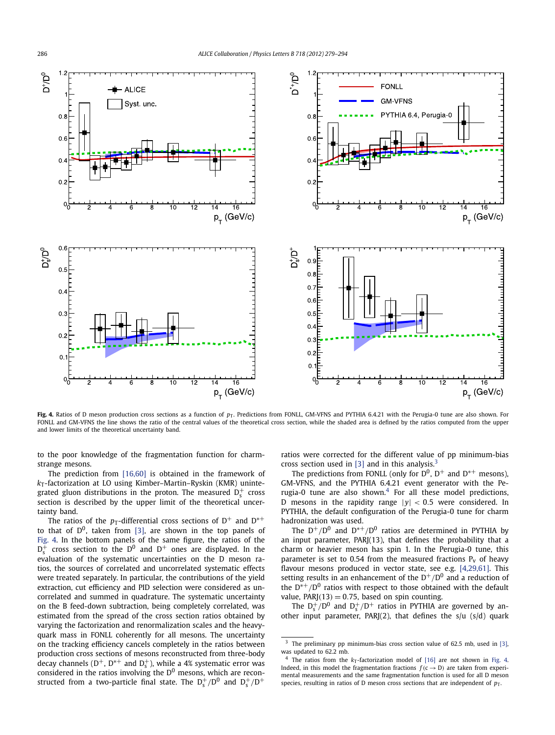<span id="page-7-0"></span>

Fig. 4. Ratios of D meson production cross sections as a function of  $p<sub>T</sub>$ . Predictions from FONLL, GM-VFNS and PYTHIA 6.4.21 with the Perugia-0 tune are also shown. For FONLL and GM-VFNS the line shows the ratio of the central values of the theoretical cross section, while the shaded area is defined by the ratios computed from the upper and lower limits of the theoretical uncertainty band.

to the poor knowledge of the fragmentation function for charmstrange mesons.

The prediction from [\[16,60\]](#page-10-0) is obtained in the framework of *k*T-factorization at LO using Kimber–Martin–Ryskin (KMR) unintegrated gluon distributions in the proton. The measured  $\mathsf{D}_\mathsf{S}^+$  cross section is described by the upper limit of the theoretical uncertainty band.

The ratios of the *p*<sub>T</sub>-differential cross sections of  $D^+$  and  $D^{*+}$ to that of  $D^0$ , taken from [\[3\],](#page-10-0) are shown in the top panels of Fig. 4. In the bottom panels of the same figure, the ratios of the  $D_s^+$  cross section to the  $D^0$  and  $D^+$  ones are displayed. In the evaluation of the systematic uncertainties on the D meson ratios, the sources of correlated and uncorrelated systematic effects were treated separately. In particular, the contributions of the yield extraction, cut efficiency and PID selection were considered as uncorrelated and summed in quadrature. The systematic uncertainty on the B feed-down subtraction, being completely correlated, was estimated from the spread of the cross section ratios obtained by varying the factorization and renormalization scales and the heavyquark mass in FONLL coherently for all mesons. The uncertainty on the tracking efficiency cancels completely in the ratios between production cross sections of mesons reconstructed from three-body decay channels (D<sup>+</sup>, D\*<sup>+</sup> and D $^{\rm +}_\mathrm{s}$ ), while a 4% systematic error was considered in the ratios involving the  $D^0$  mesons, which are reconstructed from a two-particle final state. The  $D_S^+/D^0$  and  $D_S^+/D^+$ 

ratios were corrected for the different value of pp minimum-bias cross section used in [\[3\]](#page-10-0) and in this analysis. $\frac{3}{5}$ 

The predictions from FONLL (only for  $D^0$ ,  $D^+$  and  $D^{*+}$  mesons), GM-VFNS, and the PYTHIA 6.4.21 event generator with the Perugia-0 tune are also shown.<sup>4</sup> For all these model predictions, D mesons in the rapidity range |*y*| *<* 0*.*5 were considered. In PYTHIA, the default configuration of the Perugia-0 tune for charm hadronization was used.

The  $D^+/D^0$  and  $D^{*+}/D^0$  ratios are determined in PYTHIA by an input parameter, PARJ(13), that defines the probability that a charm or heavier meson has spin 1. In the Perugia-0 tune, this parameter is set to 0.54 from the measured fractions  $P_v$  of heavy flavour mesons produced in vector state, see e.g. [\[4,29,61\].](#page-10-0) This setting results in an enhancement of the  $D^{+}/D^{0}$  and a reduction of the D∗+*/*D0 ratios with respect to those obtained with the default value,  $PARJ(13) = 0.75$ , based on spin counting.

The  $D_s^+/D^0$  and  $D_s^+/D^+$  ratios in PYTHIA are governed by another input parameter, PARJ(2), that defines the  $s/u$  ( $s/d$ ) quark

 $3$  The preliminary pp minimum-bias cross section value of 62.5 mb, used in [\[3\],](#page-10-0) was updated to 62.2 mb.

 $4$  The ratios from the  $k_T$ -factorization model of [\[16\]](#page-10-0) are not shown in Fig. 4. Indeed, in this model the fragmentation fractions  $f(c \rightarrow D)$  are taken from experimental measurements and the same fragmentation function is used for all D meson species, resulting in ratios of D meson cross sections that are independent of  $p<sub>T</sub>$ .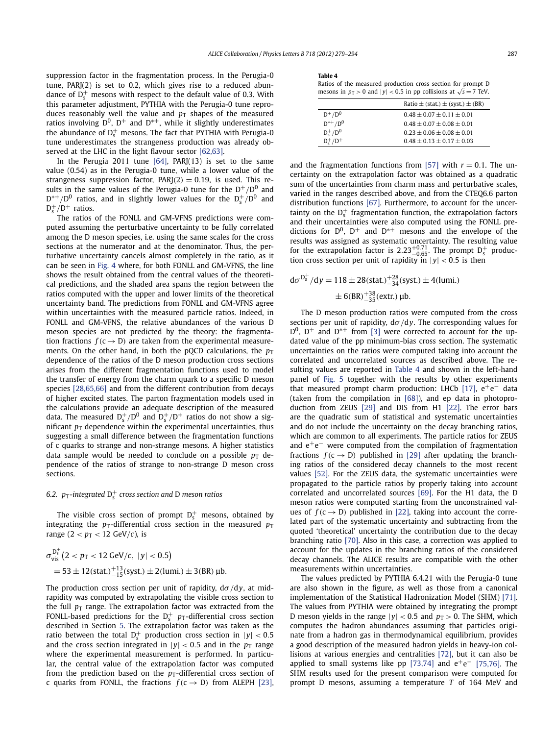suppression factor in the fragmentation process. In the Perugia-0 tune, PARJ(2) is set to 0.2, which gives rise to a reduced abundance of  $D_{\rm s}^+$  mesons with respect to the default value of 0.3. With this parameter adjustment, PYTHIA with the Perugia-0 tune reproduces reasonably well the value and  $p<sub>T</sub>$  shapes of the measured ratios involving  $D^0$ ,  $D^+$  and  $D^{*+}$ , while it slightly underestimates the abundance of  $\mathsf{D^+_s}$  mesons. The fact that <code>PYTHIA</code> with <code>Perugia-0</code> tune underestimates the strangeness production was already observed at the LHC in the light flavour sector [\[62,63\].](#page-11-0)

In the Perugia 2011 tune  $[64]$ , PAR $[(13)$  is set to the same value (0.54) as in the Perugia-0 tune, while a lower value of the strangeness suppression factor,  $PARI(2) = 0.19$ , is used. This results in the same values of the Perugia-0 tune for the D+*/*D0 and  $D^{*+}/D^0$  ratios, and in slightly lower values for the  $D_s^+/D^0$  and  $D_{\rm s}^+/D^+$  ratios.

The ratios of the FONLL and GM-VFNS predictions were computed assuming the perturbative uncertainty to be fully correlated among the D meson species, i.e. using the same scales for the cross sections at the numerator and at the denominator. Thus, the perturbative uncertainty cancels almost completely in the ratio, as it can be seen in [Fig. 4](#page-7-0) where, for both FONLL and GM-VFNS, the line shows the result obtained from the central values of the theoretical predictions, and the shaded area spans the region between the ratios computed with the upper and lower limits of the theoretical uncertainty band. The predictions from FONLL and GM-VFNS agree within uncertainties with the measured particle ratios. Indeed, in FONLL and GM-VFNS, the relative abundances of the various D meson species are not predicted by the theory: the fragmentation fractions  $f(c \rightarrow D)$  are taken from the experimental measurements. On the other hand, in both the pQCD calculations, the  $p<sub>T</sub>$ dependence of the ratios of the D meson production cross sections arises from the different fragmentation functions used to model the transfer of energy from the charm quark to a specific D meson species [\[28,65,66\]](#page-10-0) and from the different contribution from decays of higher excited states. The parton fragmentation models used in the calculations provide an adequate description of the measured data. The measured  $D_s^+/D^0$  and  $D_s^+/D^+$  ratios do not show a significant  $p_T$  dependence within the experimental uncertainties, thus suggesting a small difference between the fragmentation functions of c quarks to strange and non-strange mesons. A higher statistics data sample would be needed to conclude on a possible  $p<sub>T</sub>$  dependence of the ratios of strange to non-strange D meson cross sections.

# *6.2. p*T*-integrated* D+ <sup>s</sup> *cross section and* D *meson ratios*

The visible cross section of prompt  $D_s^+$  mesons, obtained by integrating the  $p_T$ -differential cross section in the measured  $p_T$ range  $(2 < p_T < 12 \text{ GeV}/c)$ , is

$$
\sigma_{\text{vis}}^{D_s^+} \left( 2 < p_{\text{T}} < 12 \text{ GeV/c}, \ |y| < 0.5 \right)
$$
\n
$$
= 53 \pm 12 \text{(stat.)}^{+13}_{-15} \text{(syst.)} \pm 2 \text{(lumi.)} \pm 3 \text{(BR)} \text{ pb.}
$$

The production cross section per unit of rapidity, d*σ/*d*y*, at midrapidity was computed by extrapolating the visible cross section to the full  $p_T$  range. The extrapolation factor was extracted from the FONLL-based predictions for the  $D^+_s$   $p_T$ -differential cross section described in Section [5.](#page-5-0) The extrapolation factor was taken as the ratio between the total  $D_s^+$  production cross section in  $|y| < 0.5$ and the cross section integrated in  $|y| < 0.5$  and in the  $p<sub>T</sub>$  range where the experimental measurement is performed. In particular, the central value of the extrapolation factor was computed from the prediction based on the  $p<sub>T</sub>$ -differential cross section of c quarks from FONLL, the fractions  $f(c \rightarrow D)$  from ALEPH [\[23\],](#page-10-0)

**Table 4** Ratios of the measured production cross section for prompt D mesons in  $p_T > 0$  and  $|y| < 0.5$  in pp collisions at  $\sqrt{s} = 7$  TeV.

|                       | Ratio $\pm$ (stat.) $\pm$ (syst.) $\pm$ (BR) |
|-----------------------|----------------------------------------------|
| $D^{+}/D^{0}$         | $0.48 + 0.07 + 0.11 + 0.01$                  |
| $D^{*+}/D^0$          | $0.48 + 0.07 + 0.08 + 0.01$                  |
| $D_s^+/D^0$           | $0.23 + 0.06 + 0.08 + 0.01$                  |
| $D_{s}^{+}/D_{s}^{+}$ | $0.48 + 0.13 + 0.17 + 0.03$                  |

and the fragmentation functions from [\[57\]](#page-11-0) with  $r = 0.1$ . The uncertainty on the extrapolation factor was obtained as a quadratic sum of the uncertainties from charm mass and perturbative scales, varied in the ranges described above, and from the CTEQ6.6 parton distribution functions [\[67\].](#page-11-0) Furthermore, to account for the uncertainty on the  $D_s^+$  fragmentation function, the extrapolation factors and their uncertainties were also computed using the FONLL predictions for  $D^0$ ,  $D^+$  and  $D^{*+}$  mesons and the envelope of the results was assigned as systematic uncertainty. The resulting value for the extrapolation factor is  $2.23^{+0.71}_{-0.65}$ . The prompt D<sub>5</sub><sup>+</sup> production are production as production of production  $2.5$ tion cross section per unit of rapidity in  $|y| < 0.5$  is then

$$
d\sigma^{D_s^+}/dy = 118 \pm 28 \text{(stat.)}^{+28}_{-34} \text{(syst.)} \pm 4 \text{(lumi.)}
$$

$$
\pm 6 \text{(BR)}^{+38}_{-35} \text{(extr.)} \text{ }\mu\text{b}.
$$

The D meson production ratios were computed from the cross sections per unit of rapidity, d*σ/*d*y*. The corresponding values for  $D^{0}$ ,  $D^{+}$  and  $D^{*+}$  from [\[3\]](#page-10-0) were corrected to account for the updated value of the pp minimum-bias cross section. The systematic uncertainties on the ratios were computed taking into account the correlated and uncorrelated sources as described above. The resulting values are reported in Table 4 and shown in the left-hand panel of [Fig. 5](#page-9-0) together with the results by other experiments that measured prompt charm production: LHCb [\[17\],](#page-10-0)  $e^+e^-$  data (taken from the compilation in [\[68\]\)](#page-11-0), and ep data in photoproduction from ZEUS [\[29\]](#page-10-0) and DIS from H1 [\[22\].](#page-10-0) The error bars are the quadratic sum of statistical and systematic uncertainties and do not include the uncertainty on the decay branching ratios, which are common to all experiments. The particle ratios for ZEUS and  $e^+e^-$  were computed from the compilation of fragmentation fractions  $f(c \rightarrow D)$  published in [\[29\]](#page-10-0) after updating the branching ratios of the considered decay channels to the most recent values [\[52\].](#page-11-0) For the ZEUS data, the systematic uncertainties were propagated to the particle ratios by properly taking into account correlated and uncorrelated sources [\[69\].](#page-11-0) For the H1 data, the D meson ratios were computed starting from the unconstrained values of  $f(c \rightarrow D)$  published in [\[22\],](#page-10-0) taking into account the correlated part of the systematic uncertainty and subtracting from the quoted 'theoretical' uncertainty the contribution due to the decay branching ratio [\[70\].](#page-11-0) Also in this case, a correction was applied to account for the updates in the branching ratios of the considered decay channels. The ALICE results are compatible with the other measurements within uncertainties.

The values predicted by PYTHIA 6.4.21 with the Perugia-0 tune are also shown in the figure, as well as those from a canonical implementation of the Statistical Hadronization Model (SHM) [\[71\].](#page-11-0) The values from PYTHIA were obtained by integrating the prompt D meson yields in the range  $|y| < 0.5$  and  $p<sub>T</sub> > 0$ . The SHM, which computes the hadron abundances assuming that particles originate from a hadron gas in thermodynamical equilibrium, provides a good description of the measured hadron yields in heavy-ion collisions at various energies and centralities [\[72\],](#page-11-0) but it can also be applied to small systems like pp [\[73,74\]](#page-11-0) and  $e^+e^-$  [\[75,76\].](#page-11-0) The SHM results used for the present comparison were computed for prompt D mesons, assuming a temperature *T* of 164 MeV and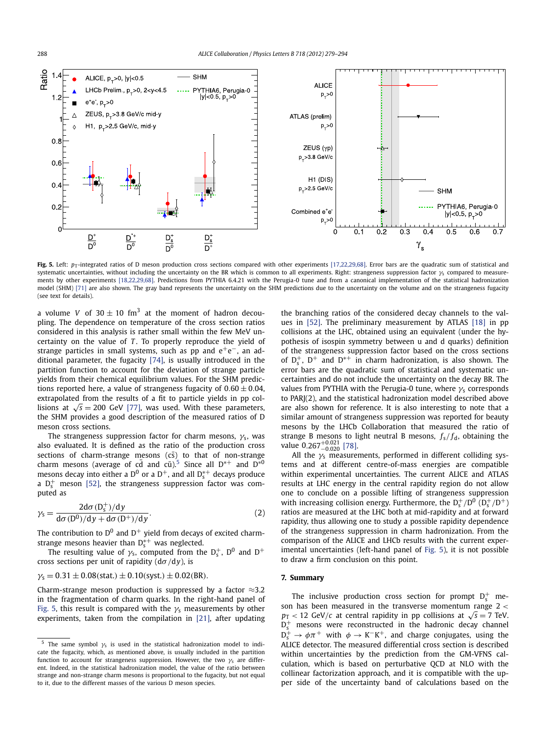<span id="page-9-0"></span>

Fig. 5. Left:  $p_T$ -integrated ratios of D meson production cross sections compared with other experiments [\[17,22,29,68\].](#page-10-0) Error bars are the quadratic sum of statistical and systematic uncertainties, without including the uncertainty on the BR which is common to all experiments. Right: strangeness suppression factor *γ*s compared to measure-ments by other experiments [\[18,22,29,68\].](#page-10-0) Predictions from PYTHIA 6.4.21 with the Perugia-0 tune and from a canonical implementation of the statistical hadronization model (SHM) [\[71\]](#page-11-0) are also shown. The gray band represents the uncertainty on the SHM predictions due to the uncertainty on the volume and on the strangeness fugacity (see text for details).

a volume *V* of  $30 \pm 10$  fm<sup>3</sup> at the moment of hadron decoupling. The dependence on temperature of the cross section ratios considered in this analysis is rather small within the few MeV uncertainty on the value of *T*. To properly reproduce the yield of strange particles in small systems, such as pp and  $e^+e^-$ , an additional parameter, the fugacity [\[74\],](#page-11-0) is usually introduced in the partition function to account for the deviation of strange particle yields from their chemical equilibrium values. For the SHM predictions reported here, a value of strangeness fugacity of  $0.60 \pm 0.04$ , extrapolated from the results of a fit to particle yields in pp collisions at  $\sqrt{s}$  = 200 GeV [\[77\],](#page-11-0) was used. With these parameters, the SHM provides a good description of the measured ratios of D meson cross sections.

The strangeness suppression factor for charm mesons, *γ*s, was also evaluated. It is defined as the ratio of the production cross sections of charm-strange mesons  $(c\bar{s})$  to that of non-strange charm mesons (average of cd and cu).<sup>5</sup> Since all D<sup>\*+</sup> and D<sup>\*0</sup> mesons decay into either a D<sup>0</sup> or a D<sup>+</sup>, and all D<sup>\*+</sup> decays produce a  $D_s^+$  meson [\[52\],](#page-11-0) the strangeness suppression factor was computed as

$$
\gamma_{\rm S} = \frac{2d\sigma(D_{\rm S}^{+})/dy}{d\sigma(D^0)/dy + d\sigma(D^+)/dy}.\tag{2}
$$

The contribution to  $D^0$  and  $D^+$  yield from decays of excited charmstrange mesons heavier than  $\mathsf{D}^{*+}_{\mathsf{S}}$  was neglected.

The resulting value of  $\gamma_{\rm s}$ , computed from the D<sup>+</sup>, D<sup>0</sup> and D<sup>+</sup> cross sections per unit of rapidity (d*σ/*d*y*), is

 $\gamma_s = 0.31 \pm 0.08$ *(stat.)*  $\pm 0.10$ *(syst.)*  $\pm 0.02$ *(BR).* 

Charm-strange meson production is suppressed by a factor  $\approx$ 3.2 in the fragmentation of charm quarks. In the right-hand panel of Fig. 5, this result is compared with the  $\gamma_s$  measurements by other experiments, taken from the compilation in [\[21\],](#page-10-0) after updating

the branching ratios of the considered decay channels to the values in [\[52\].](#page-11-0) The preliminary measurement by ATLAS [\[18\]](#page-10-0) in pp collisions at the LHC, obtained using an equivalent (under the hypothesis of isospin symmetry between u and d quarks) definition of the strangeness suppression factor based on the cross sections of  $D_s^+$ ,  $D^+$  and  $D^{*+}$  in charm hadronization, is also shown. The error bars are the quadratic sum of statistical and systematic uncertainties and do not include the uncertainty on the decay BR. The values from PYTHIA with the Perugia-0 tune, where *γ*<sup>s</sup> corresponds to PARJ(2), and the statistical hadronization model described above are also shown for reference. It is also interesting to note that a similar amount of strangeness suppression was reported for beauty mesons by the LHCb Collaboration that measured the ratio of strange B mesons to light neutral B mesons,  $f_s/f_d$ , obtaining the value 0.267<sup>+0.021</sup> [\[78\].](#page-11-0)

All the *γ*<sup>s</sup> measurements, performed in different colliding systems and at different centre-of-mass energies are compatible within experimental uncertainties. The current ALICE and ATLAS results at LHC energy in the central rapidity region do not allow one to conclude on a possible lifting of strangeness suppression with increasing collision energy. Furthermore, the  $D_s^+/D^0$  ( $D_s^+/D^+$ ) ratios are measured at the LHC both at mid-rapidity and at forward rapidity, thus allowing one to study a possible rapidity dependence of the strangeness suppression in charm hadronization. From the comparison of the ALICE and LHCb results with the current experimental uncertainties (left-hand panel of Fig. 5), it is not possible to draw a firm conclusion on this point.

#### **7. Summary**

The inclusive production cross section for prompt  $D_s^+$  meson has been measured in the transverse momentum range 2 *<*  $p_T < 12$  GeV/*c* at central rapidity in pp collisions at  $\sqrt{s} = 7$  TeV.  $D_s^+$  mesons were reconstructed in the hadronic decay channel D+ <sup>s</sup> → *φπ*<sup>+</sup> with *φ* → <sup>K</sup>−K+, and charge conjugates, using the ALICE detector. The measured differential cross section is described within uncertainties by the prediction from the GM-VFNS calculation, which is based on perturbative QCD at NLO with the collinear factorization approach, and it is compatible with the upper side of the uncertainty band of calculations based on the

<sup>5</sup> The same symbol *γ*<sup>s</sup> is used in the statistical hadronization model to indicate the fugacity, which, as mentioned above, is usually included in the partition function to account for strangeness suppression. However, the two *γ*<sup>s</sup> are different. Indeed, in the statistical hadronization model, the value of the ratio between strange and non-strange charm mesons is proportional to the fugacity, but not equal to it, due to the different masses of the various D meson species.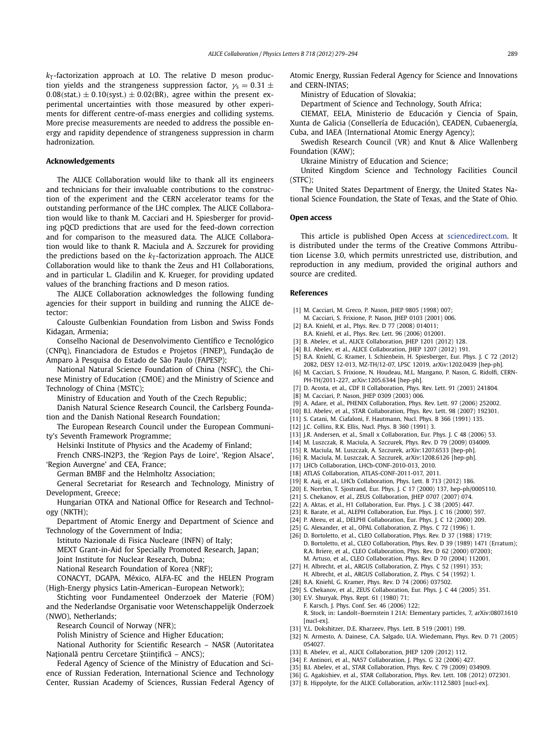<span id="page-10-0"></span> $k<sub>T</sub>$ -factorization approach at LO. The relative D meson production yields and the strangeness suppression factor,  $\gamma_s = 0.31 \pm$  $0.08$ (stat.)  $\pm$  0.10(syst.)  $\pm$  0.02(BR), agree within the present experimental uncertainties with those measured by other experiments for different centre-of-mass energies and colliding systems. More precise measurements are needed to address the possible energy and rapidity dependence of strangeness suppression in charm hadronization.

#### **Acknowledgements**

The ALICE Collaboration would like to thank all its engineers and technicians for their invaluable contributions to the construction of the experiment and the CERN accelerator teams for the outstanding performance of the LHC complex. The ALICE Collaboration would like to thank M. Cacciari and H. Spiesberger for providing pQCD predictions that are used for the feed-down correction and for comparison to the measured data. The ALICE Collaboration would like to thank R. Maciula and A. Szczurek for providing the predictions based on the  $k<sub>T</sub>$ -factorization approach. The ALICE Collaboration would like to thank the Zeus and H1 Collaborations, and in particular L. Gladilin and K. Krueger, for providing updated values of the branching fractions and D meson ratios.

The ALICE Collaboration acknowledges the following funding agencies for their support in building and running the ALICE detector:

Calouste Gulbenkian Foundation from Lisbon and Swiss Fonds Kidagan, Armenia;

Conselho Nacional de Desenvolvimento Científico e Tecnológico (CNPq), Financiadora de Estudos e Projetos (FINEP), Fundação de Amparo à Pesquisa do Estado de São Paulo (FAPESP);

National Natural Science Foundation of China (NSFC), the Chinese Ministry of Education (CMOE) and the Ministry of Science and Technology of China (MSTC);

Ministry of Education and Youth of the Czech Republic;

- Danish Natural Science Research Council, the Carlsberg Foundation and the Danish National Research Foundation;
- The European Research Council under the European Community's Seventh Framework Programme;
	- Helsinki Institute of Physics and the Academy of Finland;
- French CNRS-IN2P3, the 'Region Pays de Loire', 'Region Alsace', 'Region Auvergne' and CEA, France;

German BMBF and the Helmholtz Association;

General Secretariat for Research and Technology, Ministry of Development, Greece;

Hungarian OTKA and National Office for Research and Technology (NKTH);

Department of Atomic Energy and Department of Science and Technology of the Government of India;

Istituto Nazionale di Fisica Nucleare (INFN) of Italy;

MEXT Grant-in-Aid for Specially Promoted Research, Japan;

Joint Institute for Nuclear Research, Dubna;

National Research Foundation of Korea (NRF);

CONACYT, DGAPA, México, ALFA-EC and the HELEN Program (High-Energy physics Latin-American–European Network);

Stichting voor Fundamenteel Onderzoek der Materie (FOM) and the Nederlandse Organisatie voor Wetenschappelijk Onderzoek (NWO), Netherlands;

Research Council of Norway (NFR);

Polish Ministry of Science and Higher Education;

National Authority for Scientific Research – NASR (Autoritatea Națională pentru Cercetare Științifică – ANCS);

Federal Agency of Science of the Ministry of Education and Science of Russian Federation, International Science and Technology Center, Russian Academy of Sciences, Russian Federal Agency of Atomic Energy, Russian Federal Agency for Science and Innovations and CERN-INTAS;

Ministry of Education of Slovakia;

Department of Science and Technology, South Africa;

CIEMAT, EELA, Ministerio de Educación y Ciencia of Spain, Xunta de Galicia (Consellería de Educación), CEADEN, Cubaenergía, Cuba, and IAEA (International Atomic Energy Agency);

Swedish Research Council (VR) and Knut & Alice Wallenberg Foundation (KAW);

Ukraine Ministry of Education and Science;

United Kingdom Science and Technology Facilities Council (STFC);

The United States Department of Energy, the United States National Science Foundation, the State of Texas, and the State of Ohio.

#### **Open access**

This article is published Open Access at [sciencedirect.com.](http://www.sciencedirect.com) It is distributed under the terms of the Creative Commons Attribution License 3.0, which permits unrestricted use, distribution, and reproduction in any medium, provided the original authors and source are credited.

#### **References**

- [1] M. Cacciari, M. Greco, P. Nason, JHEP 9805 (1998) 007;
- M. Cacciari, S. Frixione, P. Nason, JHEP 0103 (2001) 006.
- [2] B.A. Kniehl, et al., Phys. Rev. D 77 (2008) 014011;
- B.A. Kniehl, et al., Phys. Rev. Lett. 96 (2006) 012001.
- [3] B. Abelev, et al., ALICE Collaboration, JHEP 1201 (2012) 128.
- [4] B.I. Abelev, et al., ALICE Collaboration, JHEP 1207 (2012) 191. [5] B.A. Kniehl, G. Kramer, I. Schienbein, H. Spiesberger, Eur. Phys. J. C 72 (2012)
- 2082, DESY 12-013, MZ-TH/12-07, LPSC 12019, arXiv:1202.0439 [hep-ph].
- [6] M. Cacciari, S. Frixione, N. Houdeau, M.L. Mangano, P. Nason, G. Ridolfi, CERN-PH-TH/2011-227, arXiv:1205.6344 [hep-ph].
- [7] D. Acosta, et al., CDF II Collaboration, Phys. Rev. Lett. 91 (2003) 241804.
- [8] M. Cacciari, P. Nason, JHEP 0309 (2003) 006.
- [9] A. Adare, et al., PHENIX Collaboration, Phys. Rev. Lett. 97 (2006) 252002.
- [10] B.I. Abelev, et al., STAR Collaboration, Phys. Rev. Lett. 98 (2007) 192301.
- [11] S. Catani, M. Ciafaloni, F. Hautmann, Nucl. Phys. B 366 (1991) 135.
- [12] J.C. Collins, R.K. Ellis, Nucl. Phys. B 360 (1991) 3.
- [13] J.R. Andersen, et al., Small x Collaboration, Eur. Phys. J. C 48 (2006) 53.
- [14] M. Luszczak, R. Maciula, A. Szczurek, Phys. Rev. D 79 (2009) 034009.
- [15] R. Maciula, M. Luszczak, A. Szczurek, arXiv:1207.6533 [hep-ph].
- [16] R. Maciula, M. Luszczak, A. Szczurek, arXiv:1208.6126 [hep-ph].
- [17] LHCb Collaboration, LHCb-CONF-2010-013, 2010.
- [18] ATLAS Collaboration, ATLAS-CONF-2011-017, 2011.
- [19] R. Aaij, et al., LHCb Collaboration, Phys. Lett. B 713 (2012) 186.
- [20] E. Norrbin, T. Sjostrand, Eur. Phys. J. C 17 (2000) 137, hep-ph/0005110.
- [21] S. Chekanov, et al., ZEUS Collaboration, JHEP 0707 (2007) 074.
- [22] A. Aktas, et al., H1 Collaboration, Eur. Phys. J. C 38 (2005) 447.
- [23] R. Barate, et al., ALEPH Collaboration, Eur. Phys. J. C 16 (2000) 597.
- [24] P. Abreu, et al., DELPHI Collaboration, Eur. Phys. J. C 12 (2000) 209.
- [25] G. Alexander, et al., OPAL Collaboration, Z. Phys. C 72 (1996) 1.
- [26] D. Bortoletto, et al., CLEO Collaboration, Phys. Rev. D 37 (1988) 1719; D. Bortoletto, et al., CLEO Collaboration, Phys. Rev. D 39 (1989) 1471 (Erratum); R.A. Briere, et al., CLEO Collaboration, Phys. Rev. D 62 (2000) 072003; M. Artuso, et al., CLEO Collaboration, Phys. Rev. D 70 (2004) 112001.
- [27] H. Albrecht, et al., ARGUS Collaboration, Z. Phys. C 52 (1991) 353; H. Albrecht, et al., ARGUS Collaboration, Z. Phys. C 54 (1992) 1.
- [28] B.A. Kniehl, G. Kramer, Phys. Rev. D 74 (2006) 037502.
- [29] S. Chekanov, et al., ZEUS Collaboration, Eur. Phys. J. C 44 (2005) 351.
- [30] E.V. Shuryak, Phys. Rept. 61 (1980) 71; F. Karsch, J. Phys. Conf. Ser. 46 (2006) 122;

R. Stock, in: Landolt–Boernstein I 21A: Elementary particles, 7, arXiv:0807.1610 [nucl-ex].

- [31] Y.L. Dokshitzer, D.E. Kharzeev, Phys. Lett. B 519 (2001) 199.
- [32] N. Armesto, A. Dainese, C.A. Salgado, U.A. Wiedemann, Phys. Rev. D 71 (2005) 054027.
- [33] B. Abelev, et al., ALICE Collaboration, JHEP 1209 (2012) 112.
- [34] F. Antinori, et al., NA57 Collaboration, J. Phys. G 32 (2006) 427.
- [35] B.I. Abelev, et al., STAR Collaboration, Phys. Rev. C 79 (2009) 034909.
- [36] G. Agakishiev, et al., STAR Collaboration, Phys. Rev. Lett. 108 (2012) 072301.
- [37] B. Hippolyte, for the ALICE Collaboration, arXiv:1112.5803 [nucl-ex].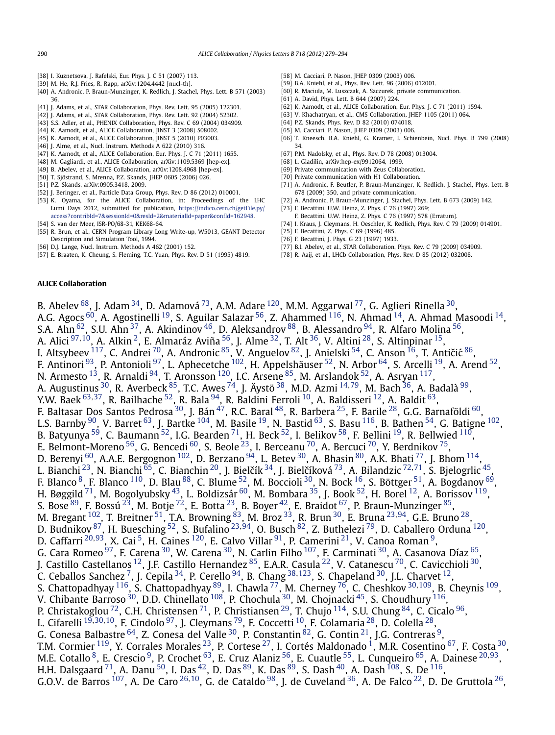- <span id="page-11-0"></span>[38] I. Kuznetsova, J. Rafelski, Eur. Phys. J. C 51 (2007) 113. [39] M. He, R.J. Fries, R. Rapp, arXiv:1204.4442 [nucl-th].
- [40] A. Andronic, P. Braun-Munzinger, K. Redlich, J. Stachel, Phys. Lett. B 571 (2003) 36.
- [41] J. Adams, et al., STAR Collaboration, Phys. Rev. Lett. 95 (2005) 122301.
- [42] J. Adams, et al., STAR Collaboration, Phys. Rev. Lett. 92 (2004) 52302.
- [43] S.S. Adler, et al., PHENIX Collaboration, Phys. Rev. C 69 (2004) 034909.
- [44] K. Aamodt, et al., ALICE Collaboration, JINST 3 (2008) S08002.
- [45] K. Aamodt, et al., ALICE Collaboration, JINST 5 (2010) P03003.
- [46] J. Alme, et al., Nucl. Instrum. Methods A 622 (2010) 316.
- [47] K. Aamodt, et al., ALICE Collaboration, Eur. Phys. J. C 71 (2011) 1655.
- [48] M. Gagliardi, et al., ALICE Collaboration, arXiv:1109.5369 [hep-ex].
- [49] B. Abeley, et al., ALICE Collaboration, arXiv:1208.4968 [hep-ex].
- [50] T. Sjöstrand, S. Mrenna, P.Z. Skands, JHEP 0605 (2006) 026.
- [51] P.Z. Skands, arXiv:0905.3418, 2009.
- [52] J. Beringer, et al., Particle Data Group, Phys. Rev. D 86 (2012) 010001.
- [53] K. Oyama, for the ALICE Collaboration, in: Proceedings of the LHC Lumi Days 2012, submitted for publication, [https://indico.cern.ch/getFile.py/](https://indico.cern.ch/getFile.py/access?contribId=7&sessionId=0&resId=2&materialId=paper&confId=162948) [access?contribId=7&sessionId=0&resId=2&materialId=paper&confId=162948.](https://indico.cern.ch/getFile.py/access?contribId=7&sessionId=0&resId=2&materialId=paper&confId=162948)
- [54] S. van der Meer, ISR-PO/68-31, KEK68-64.
- [55] R. Brun, et al., CERN Program Library Long Write-up, W5013, GEANT Detector Description and Simulation Tool, 1994.
- [56] D.J. Lange, Nucl. Instrum. Methods A 462 (2001) 152.
- [57] E. Braaten, K. Cheung, S. Fleming, T.C. Yuan, Phys. Rev. D 51 (1995) 4819.
- [58] M. Cacciari, P. Nason, IHEP 0309 (2003) 006.
- [59] B.A. Kniehl, et al., Phys. Rev. Lett. 96 (2006) 012001.
- [60] R. Maciula, M. Luszczak, A. Szczurek, private communication.
- [61] A. David, Phys. Lett. B 644 (2007) 224.
- [62] K. Aamodt, et al., ALICE Collaboration, Eur. Phys. J. C 71 (2011) 1594.
- [63] V. Khachatryan, et al., CMS Collaboration, JHEP 1105 (2011) 064.
- [64] P.Z. Skands, Phys. Rev. D 82 (2010) 074018.
- [65] M. Cacciari, P. Nason, JHEP 0309 (2003) 006.
- [66] T. Kneesch, B.A. Kniehl, G. Kramer, I. Schienbein, Nucl. Phys. B 799 (2008) 34.
- [67] P.M. Nadolsky, et al., Phys. Rev. D 78 (2008) 013004.
- [68] L. Gladilin, arXiv:hep-ex/9912064, 1999.
- [69] Private communication with Zeus Collaboration.
- [70] Private communication with H1 Collaboration.
- [71] A. Andronic, F. Beutler, P. Braun-Munzinger, K. Redlich, J. Stachel, Phys. Lett. B 678 (2009) 350, and private communication.
- [72] A. Andronic, P. Braun-Munzinger, J. Stachel, Phys. Lett. B 673 (2009) 142.
- [73] F. Becattini, U.W. Heinz, Z. Phys. C 76 (1997) 269;
- F. Becattini, U.W. Heinz, Z. Phys. C 76 (1997) 578 (Erratum).
- [74] I. Kraus, J. Cleymans, H. Oeschler, K. Redlich, Phys. Rev. C 79 (2009) 014901.
- [75] F. Becattini, Z. Phys. C 69 (1996) 485.
- [76] F. Becattini, J. Phys. G 23 (1997) 1933.
- [77] B.I. Abelev, et al., STAR Collaboration, Phys. Rev. C 79 (2009) 034909.
- [78] R. Aaij, et al., LHCb Collaboration, Phys. Rev. D 85 (2012) 032008.

### **ALICE Collaboration**

B. Abelev  $^{68}$ , J. Adam  $^{34}$ , D. Adamová  $^{73}$ , A.M. Adare  $^{120}$ , M.M. Aggarwal  $^{77}$ , G. Aglieri Rinella  $^{30}$ , A.G. Agocs <sup>60</sup>, A. Agostinelli <sup>19</sup>, S. Aguilar Salazar <sup>56</sup>, Z. Ahammed <sup>116</sup>, N. Ahmad <sup>14</sup>, A. Ahmad Masoodi <sup>14</sup>, S.A. Ahn  $^{62}$ , S.U. Ahn  $^{37}$ , A. Akindinov  $^{46}$ , D. Aleksandrov  $^{88}$ , B. Alessandro  $^{94}$ , R. Alfaro Molina  $^{56}$ , A. Alici [97](#page-15-0)*,*[10,](#page-14-0) A. Alkin [2,](#page-14-0) E. Almaráz Aviña [56,](#page-14-0) J. Alme [32,](#page-14-0) T. Alt [36,](#page-14-0) V. Altini [28,](#page-14-0) S. Altinpinar [15,](#page-14-0) I. Altsybeev  $^{117}$ , C. Andrei  $^{70}$ , A. Andronic  $^{85}$ , V. Anguelov  $^{82}$ , J. Anielski  $^{54}$ , C. Anson  $^{16}$ , T. Antičić  $^{86},$ F. Antinori <sup>93</sup>, P. Antonioli <sup>97</sup>, L. Aphecetche <sup>102</sup>, H. Appelshäuser <sup>52</sup>, N. Arbor <sup>64</sup>, S. Arcelli <sup>19</sup>, A. Arend <sup>52</sup>, N. Armesto  $^{13}$ , R. Arnaldi  $^{94}$ , T. Aronsson  $^{120}$ , I.C. Arsene  $^{85}$ , M. Arslandok  $^{52}$ , A. Asryan  $^{117}$  $^{117}$  $^{117}$ , A. Augustinus [30,](#page-14-0) R. Averbeck [85,](#page-15-0) T.C. Awes [74,](#page-15-0) J. Äystö [38,](#page-14-0) M.D. Azmi [14](#page-14-0)*,*[79,](#page-15-0) M. Bach [36,](#page-14-0) A. Badalà [99,](#page-15-0) Y.W. Baek [63](#page-15-0)*,*[37,](#page-14-0) R. Bailhache [52,](#page-14-0) R. Bala [94,](#page-15-0) R. Baldini Ferroli [10,](#page-14-0) A. Baldisseri [12](#page-14-0), A. Baldit [63](#page-15-0), F. Baltasar Dos Santos Pedrosa $^{30}$ , J. Bán $^{47}$ , R.C. Baral $^{48}$ , R. Barbera $^{25}$  $^{25}$  $^{25}$ , F. Barile $^{28}$ , G.G. Barnaföldi $^{60}$ , L.S. Barnby  $^{90}$ , V. Barret  $^{63}$  $^{63}$  $^{63}$ , J. Bartke  $^{104}$ , M. Basile  $^{19}$  $^{19}$  $^{19}$ , N. Bastid  $^{63}$ , S. Basu  $^{116}$ , B. Bathen  $^{54}$ , G. Batigne  $^{102}$ , B. Batyunya  $^{59}$ , C. Baumann  $^{52}$  $^{52}$  $^{52}$ , I.G. Bearden  $^{71}$ , H. Beck  $^{52}$ , I. Belikov  $^{58}$ , F. Bellini  $^{19}$ , R. Bellwied  $^{110}$ , E. Belmont-Moreno  $^{56}$ , G. Bencedi  $^{60}$ , S. Beole  $^{23}$ , I. Berceanu  $^{70}$  $^{70}$  $^{70}$ , A. Bercuci  $^{70}$ , Y. Berdnikov  $^{75}$ , D. Berenyi  $^{60}$  $^{60}$  $^{60}$ , A.A.E. Bergognon  $^{102}$ , D. Berzano  $^{94}$ , L. Betev  $^{30}$ , A. Bhasin  $^{80}$ , A.K. Bhati  $^{77}$ , J. Bhom  $^{114}$ , L. Bianchi <sup>[23](#page-14-0)</sup>, N. Bianchi <sup>[65](#page-15-0)</sup>, C. Bianchin <sup>20</sup>, J. Bielčík <sup>34</sup>, J. Bielčíková <sup>73</sup>, A. Bilandzic <sup>[72](#page-15-0),71</sup>, S. Bjelogrlic <sup>45</sup>, F. Blanco  $^8$ , F. Blanco  $^{110}$ , D. Blau  $^{88}$ , C. Blume  $^{52}$ , M. Boccioli  $^{30}$ , N. Bock  $^{16}$ , S. Böttger  $^{51}$ , A. Bogdanov  $^{69}$  $^{69}$  $^{69}$ , H. Bøggild <sup>71</sup>, M. Bogolyubsky  $^{43}$ , L. Boldizsár  $^{60}$ , M. Bombara  $^{35}$ , J. Book  $^{52}$ , H. Borel  $^{12}$ , A. Borissov  $^{119}$ , S. Bose  $^{89}$ , F. Bossú  $^{23}$ , M. Botje  $^{72}$ , E. Botta  $^{23}$ , B. Boyer  $^{42}$ , E. Braidot  $^{67}$ , P. Braun-Munzinger  $^{85},$ M. Bregant [102,](#page-15-0) T. Breitner [51,](#page-14-0) T.A. Browning [83,](#page-15-0) M. Broz [33,](#page-14-0) R. Brun [30,](#page-14-0) E. Bruna [23](#page-14-0)*,*[94,](#page-15-0) G.E. Bruno [28,](#page-14-0) D. Budnikov [87,](#page-15-0) H. Buesching [52,](#page-14-0) S. Bufalino [23](#page-14-0)*,*[94,](#page-15-0) O. Busch [82,](#page-15-0) Z. Buthelezi [79,](#page-15-0) D. Caballero Orduna [120,](#page-15-0) D. Caffarri <sup>[20](#page-14-0),93</sup>, X. Cai <sup>5</sup>, H. Caines <sup>120</sup>, E. Calvo Villar <sup>[91](#page-15-0)</sup>, P. Camerini <sup>21</sup>, V. Canoa Roman <sup>9</sup>, G. Cara Romeo <sup>97</sup>, F. Carena <sup>30</sup>, W. Carena <sup>30</sup>, N. Carlin Filho <sup>107</sup>, F. Carminati <sup>30</sup>, A. Casanova Díaz <sup>65</sup>, J. Castillo Castellanos <sup>12</sup>, J.F. Castillo Hernandez <sup>85</sup>, E.A.R. Casula <sup>22</sup>, V. Catanescu <sup>70</sup>, C. Cavicchioli <sup>30</sup>, C. Ceballos Sanchez [7,](#page-14-0) J. Cepila [34,](#page-14-0) P. Cerello [94,](#page-15-0) B. Chang [38](#page-14-0)*,*[123,](#page-15-0) S. Chapeland [30,](#page-14-0) J.L. Charvet [12,](#page-14-0) S. Chattopadhyay [116,](#page-15-0) S. Chattopadhyay [89,](#page-15-0) I. Chawla [77,](#page-15-0) M. Cherney [76,](#page-15-0) C. Cheshkov [30](#page-14-0)*,*[109,](#page-15-0) B. Cheynis [109,](#page-15-0) V. Chibante Barroso  $^{30}$  $^{30}$  $^{30}$ , D.D. Chinellato  $^{108}$  $^{108}$  $^{108}$ , P. Chochula  $^{30}$ , M. Chojnacki  $^{45}$ , S. Choudhury  $^{116}$ , P. Christakoglou  $^{72}$  $^{72}$  $^{72}$ , C.H. Christensen  $^{71}$ , P. Christiansen  $^{29}$ , T. Chujo  $^{114}$ , S.U. Chung  $^{84}$ , C. Cicalo  $^{96}$ , L. Cifarelli [19](#page-14-0)*,*[30](#page-14-0)*,*[10,](#page-14-0) F. Cindolo [97,](#page-15-0) J. Cleymans [79,](#page-15-0) F. Coccetti [10,](#page-14-0) F. Colamaria [28,](#page-14-0) D. Colella [28,](#page-14-0) G. Conesa Balbastre  $64$ , Z. Conesa del Valle  $30$ , P. Constantin  $82$ , G. Contin  $21$ , J.G. Contreras  $9$ , T.M. Cormier <sup>119</sup>, Y. Corrales Morales <sup>[23](#page-14-0)</sup>, P. Cortese <sup>27</sup>, I. Cortés Maldonado <sup>1</sup>, M.R. Cosentino <sup>67</sup>, F. Costa <sup>30</sup>, M.E. Cotallo [8,](#page-14-0) E. Crescio [9](#page-14-0), P. Crochet [63,](#page-15-0) E. Cruz Alaniz [56,](#page-14-0) E. Cuautle [55,](#page-14-0) L. Cunqueiro [65,](#page-15-0) A. Dainese [20](#page-14-0)*,*[93](#page-15-0), H.H. Dalsgaard  $^{71}$  $^{71}$  $^{71}$ , A. Danu  $^{50}$ , I. Das  $^{42}$ , D. Das  $^{89}$ , K. Das  $^{89}$ , S. Dash  $^{40}$ , A. Dash  $^{108}$ , S. De  $^{116}$ , G.O.V. de Barros <sup>107</sup>, A. De Caro <sup>[26](#page-14-0), 10</sup>, G. de Cataldo <sup>[98](#page-15-0)</sup>, J. de Cuveland <sup>36</sup>, A. De Falco <sup>22</sup>, D. De Gruttola <sup>26</sup>,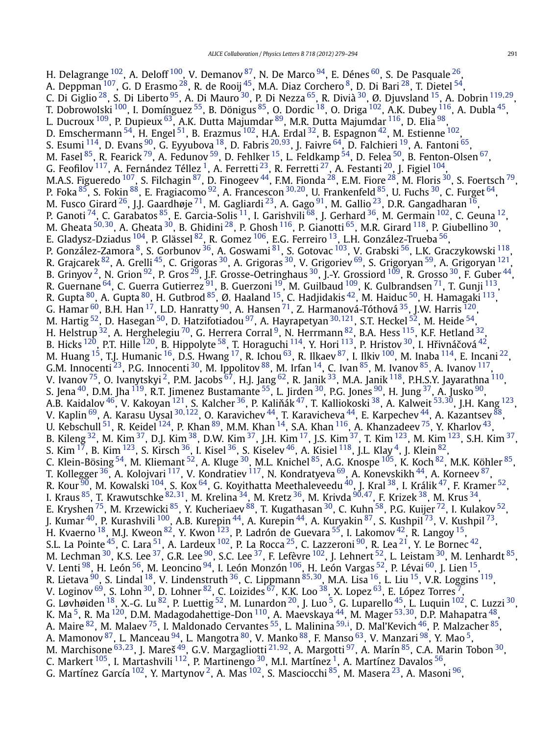H. Delagrange  $^{102}$ , A. Deloff  $^{100}$ , V. Demanov  $^{87}$  $^{87}$  $^{87}$ , N. De Marco  $^{94}$ , E. Dénes  $^{60}$ , S. De Pasquale  $^{26},$ A. Deppman  $^{107}$ , G. D Erasmo  $^{28}$  $^{28}$  $^{28}$ , R. de Rooij  $^{45}$  $^{45}$  $^{45}$ , M.A. Diaz Corchero  $^8$ , D. Di Bari  $^{28}$ , T. Dietel  $^{54}$ , C. Di Giglio [28,](#page-14-0) S. Di Liberto [95](#page-15-0), A. Di Mauro [30,](#page-14-0) P. Di Nezza [65](#page-15-0), R. Divià [30,](#page-14-0) Ø. Djuvsland [15,](#page-14-0) A. Dobrin [119](#page-15-0)*,*[29,](#page-14-0) T. Dobrowolski  $^{100}$ , I. Domínguez  $^{55}$ , B. Dönigus  $^{85}$  $^{85}$  $^{85}$ , O. Dordic  $^{18}$ , O. Driga  $^{102}$ , A.K. Dubey  $^{116}$ , A. Dubla  $^{45}$  $^{45}$  $^{45}$ , L. Ducroux <sup>109</sup>, P. Dupieux <sup>63</sup>, A.K. Dutta Majumdar <sup>89</sup>, M.R. Dutta Majumdar <sup>[116](#page-15-0)</sup>, D. Elia <sup>98</sup>, D. Emschermann  $^{54}$ , H. Engel  $^{51}$ , B. Erazmus  $^{102}$ , H.A. Erdal  $^{32}$ , B. Espagnon  $^{42}$ , M. Estienne  $^{102}$ , S. Esumi [114,](#page-15-0) D. Evans [90,](#page-15-0) G. Eyyubova [18,](#page-14-0) D. Fabris [20](#page-14-0)*,*[93,](#page-15-0) J. Faivre [64,](#page-15-0) D. Falchieri [19,](#page-14-0) A. Fantoni [65,](#page-15-0) M. Fasel  $^{85}$ , R. Fearick  $^{79}$ , A. Fedunov  $^{59}$ , D. Fehlker  $^{15}$ , L. Feldkamp  $^{54}$  $^{54}$  $^{54}$ , D. Felea  $^{50}$  $^{50}$  $^{50}$ , B. Fenton-Olsen  $^{67},$ G. Feofilov  $^{117}$ , A. Fernández Téllez  $^1$ , A. Ferretti  $^{23}$  $^{23}$  $^{23}$ , R. Ferretti  $^{27}$ , A. Festanti  $^{20}$ , J. Figiel  $^{104},$  $^{104},$  $^{104},$ M.A.S. Figueredo  $^{107}$ , S. Filchagin  $^{87}$  $^{87}$  $^{87}$ , D. Finogeev  $^{44}$ , F.M. Fionda  $^{28}$ , E.M. Fiore  $^{28}$ , M. Floris  $^{30}$ , S. Foertsch  $^{79}$ , P. Foka [85,](#page-15-0) S. Fokin [88,](#page-15-0) E. Fragiacomo [92](#page-15-0), A. Francescon [30](#page-14-0)*,*[20,](#page-14-0) U. Frankenfeld [85,](#page-15-0) U. Fuchs [30,](#page-14-0) C. Furget [64,](#page-15-0) M. Fusco Girard  $^{26}$ , J.J. Gaardhøje  $^{71}$ , M. Gagliardi  $^{23}$ , A. Gago  $^{91}$ , M. Gallio  $^{23}$ , D.R. Gangadharan  $^{16}$ , P. Ganoti  $^{74}$ , C. Garabatos  $^{85}$ , E. Garcia-Solis  $^{11}$ , I. Garishvili  $^{68}$ , J. Gerhard  $^{36}$ , M. Germain  $^{102}$ , C. Geuna  $^{12}$ , M. Gheata <sup>[50](#page-14-0),30</sup>, A. Gheata <sup>30</sup>, B. Ghidini <sup>28</sup>, P. Ghosh <sup>116</sup>, P. Gianotti <sup>[65](#page-15-0)</sup>, M.R. Girard <sup>118</sup>, P. Giubellino <sup>30</sup>, E. Gladysz-Dziadus  $^{104}$ , P. Glässel  $^{82}$ , R. Gomez  $^{106}$ , E.G. Ferreiro  $^{13}$  $^{13}$  $^{13}$ , L.H. González-Trueba  $^{56}$ , P. González-Zamora <sup>8</sup>, S. Gorbunov <sup>36</sup>, A. Goswami <sup>81</sup>, S. Gotovac <sup>103</sup>, V. Grabski <sup>56</sup>, L.K. Graczykowski <sup>118</sup>, R. Grajcarek $^{82}$ , A. Grelli $^{45}$ , C. Grigoras $^{30}$ , A. Grigoras $^{30}$ , V. Grigoriev $^{69}$ , S. Grigoryan $^{59}$ , A. Grigoryan  $^{121}$ , B. Grinyov<sup>2</sup>, N. Grion <sup>92</sup>, P. Gros <sup>29</sup>, J.F. Grosse-Oetringhaus <sup>30</sup>, J.-Y. Grossiord <sup>109</sup>, R. Grosso <sup>30</sup>, F. Guber <sup>44</sup>, R. Guernane  $^{64}$ , C. Guerra Gutierrez  $^{91}$ , B. Guerzoni  $^{19}$ , M. Guilbaud  $^{109}$ , K. Gulbrandsen  $^{71}$  $^{71}$  $^{71}$ , T. Gunji  $^{113}$ , R. Gupta $^{80}$ , A. Gupta $^{80}$ , H. Gutbrod $^{85}$ , Ø. Haaland  $^{15}$ , C. Hadjidakis  $^{42}$ , M. Haiduc  $^{50}$ , H. Hamagaki  $^{113}$ , G. Hamar  $^{60}$ , B.H. Han  $^{17}$ , L.D. Hanratty  $^{90}$ , A. Hansen  $^{71}$ , Z. Harmanová-Tóthová  $^{35}$ , J.W. Harris  $^{120}$ , M. Hartig <sup>[52](#page-14-0)</sup>, D. Hasegan <sup>[50](#page-14-0)</sup>, D. Hatzifotiadou <sup>97</sup>, A. Hayrapetyan <sup>[30](#page-14-0),121</sup>, S.T. Heckel <sup>52</sup>, M. Heide <sup>54</sup>, H. Helstrup  $^{32}$ , A. Herghelegiu  $^{70}$ , G. Herrera Corral  $^{9}$ , N. Herrmann  $^{82}$ , B.A. Hess  $^{115}$ , K.F. Hetland  $^{32}$ , B. Hicks <sup>120</sup>, P.T. Hille <sup>120</sup>, B. Hippolyte <sup>58</sup>, T. Horaguchi <sup>114</sup>, Y. Hori <sup>[113](#page-15-0)</sup>, P. Hristov <sup>30</sup>, I. Hřivnáčová <sup>42</sup>, M. Huang  $^{15}$ , T.J. Humanic  $^{16}$ , D.S. Hwang  $^{17}$  $^{17}$  $^{17}$ , R. Ichou  $^{63}$ , R. Ilkaev  $^{87}$ , I. Ilkiv  $^{100}$  $^{100}$  $^{100}$ , M. Inaba  $^{114}$ , E. Incani  $^{22}$ , G.M. Innocenti  $^{23}$ , P.G. Innocenti  $^{30}$  $^{30}$  $^{30}$ , M. Ippolitov  $^{88}$ , M. Irfan  $^{14}$ , C. Ivan  $^{85}$ , M. Ivanov  $^{85}$ , A. Ivanov  $^{117}$  $^{117}$  $^{117}$ , V. Ivanov  $^{75}$ , O. Ivanytskyi  $^2$ , P.M. Jacobs  $^{67}$ , H.J. Jang  $^{62}$ , R. Janik  $^{33}$ , M.A. Janik  $^{118}$ , P.H.S.Y. Jayarathna  $^{110}$ , S. Jena  $^{40}$ , D.M. Jha  $^{119}$ , R.T. Jimenez Bustamante  $^{55}$ , L. Jirden  $^{30}$ , P.G. Jones  $^{90}$ , H. Jung  $^{37}$ , A. Jusko  $^{90}$ , A.B. Kaidalov <sup>46</sup>, V. Kakoyan <sup>121</sup>, S. Kalcher <sup>36</sup>, P. Kaliňák <sup>47</sup>, T. Kalliokoski <sup>38</sup>, A. Kalweit <sup>[53](#page-14-0),[30](#page-14-0)</sup>, J.H. Kang <sup>123</sup>, V. Kaplin [69,](#page-15-0) A. Karasu Uysal [30](#page-14-0)*,*[122,](#page-15-0) O. Karavichev [44,](#page-14-0) T. Karavicheva [44,](#page-14-0) E. Karpechev [44,](#page-14-0) A. Kazantsev [88](#page-15-0), U. Kebschull  $^{51}$ , R. Keidel  $^{124}$ , P. Khan  $^{89}$ , M.M. Khan  $^{14}$ , S.A. Khan  $^{116}$  $^{116}$  $^{116}$ , A. Khanzadeev  $^{75}$ , Y. Kharlov  $^{43}$ , B. Kileng  $^{32}$ , M. Kim  $^{37}$ , D.J. Kim  $^{38}$ , D.W. Kim  $^{37}$ , J.H. Kim  $^{17}$ , J.S. Kim  $^{37}$ , T. Kim  $^{123}$  $^{123}$  $^{123}$ , M. Kim  $^{123}$ , S.H. Kim  $^{37}$ , S. Kim  $^{17}$ , B. Kim  $^{123}$ , S. Kirsch  $^{36}$ , I. Kisel  $^{36}$ , S. Kiselev  $^{46}$ , A. Kisiel  $^{118}$ , J.L. Klay  $^4$ , J. Klein  $^{82}$ , C. Klein-Bösing  $^{54}$ , M. Kliemant  $^{52}$ , A. Kluge  $^{30}$ , M.L. Knichel  $^{85}$ , A.G. Knospe  $^{105}$ , K. Koch  $^{82}$ , M.K. Köhler  $^{85}$ , T. Kollegger <sup>36</sup>, A. Kolojvari <sup>117</sup>, V. Kondratiev <sup>117</sup>, N. Kondratyeva <sup>[69](#page-15-0)</sup>, A. Konevskikh <sup>44</sup>, A. Korneev <sup>87</sup>, R. Kour $^{90}$ , M. Kowalski  $^{104}$ , S. Kox  $^{64}$ , G. Koyithatta Meethaleveedu  $^{40}$ , J. Kral  $^{38}$ , I. Králik  $^{47}$ , F. Kramer  $^{52}$ , I. Kraus [85,](#page-15-0) T. Krawutschke [82](#page-15-0)*,*[31](#page-14-0), M. Krelina [34](#page-14-0), M. Kretz [36,](#page-14-0) M. Krivda [90](#page-15-0)*,*[47](#page-14-0), F. Krizek [38,](#page-14-0) M. Krus [34,](#page-14-0) E. Kryshen <sup>75</sup>, M. Krzewicki <sup>85</sup>, Y. Kucheriaev <sup>88</sup>, T. Kugathasan <sup>30</sup>, C. Kuhn <sup>58</sup>, P.G. Kuijer <sup>72</sup>, I. Kulakov <sup>52</sup>, J. Kumar <sup>40</sup>, P. Kurashvili <sup>100</sup>, A.B. Kurepin <sup>[44](#page-14-0)</sup>, A. Kurepin <sup>44</sup>, A. Kuryakin <sup>87</sup>, S. Kushpil <sup>73</sup>, V. Kushpil <sup>73</sup>, H. Kvaerno  $^{18}$ , M.J. Kweon  $^{82}$ , Y. Kwon  $^{123}$ , P. Ladrón de Guevara  $^{55}$ , I. Lakomov  $^{42}$  $^{42}$  $^{42}$ , R. Langoy  $^{15}$ , S.L. La Pointe  $^{45}$ , C. Lara  $^{51}$ , A. Lardeux  $^{102}$ , P. La Rocca  $^{25}$ , C. Lazzeroni  $^{90}$ , R. Lea  $^{21}$ , Y. Le Bornec  $^{42}$ , M. Lechman  $^{30}$ , K.S. Lee  $^{37}$ , G.R. Lee  $^{90}$ , S.C. Lee  $^{37}$ , F. Lefèvre  $^{102}$ , J. Lehnert  $^{52}$ , L. Leistam  $^{30}$ , M. Lenhardt  $^{85}$ , V. Lenti $^{98}$ , H. León $^{56}$ , M. Leoncino $^{94}$ , I. León Monzón $^{106}$ , H. León Vargas $^{52}$ , P. Lévai $^{60}$ , J. Lien $^{15}$ , R. Lietava [90](#page-15-0), S. Lindal [18,](#page-14-0) V. Lindenstruth [36,](#page-14-0) C. Lippmann [85](#page-15-0)*,*[30,](#page-14-0) M.A. Lisa [16,](#page-14-0) L. Liu [15,](#page-14-0) V.R. Loggins [119,](#page-15-0) V. Loginov  $^{69}$ , S. Lohn  $^{30}$ , D. Lohner  $^{82}$ , C. Loizides  $^{67}$ , K.K. Loo  $^{38}$ , X. Lopez  $^{63}$ , E. López Torres  $^7$ , G. Løvhøiden  $^{18}$ , X.-G. Lu  $^{82}$ , P. Luettig  $^{52}$ , M. Lunardon  $^{20}$ , J. Luo  $^5$ , G. Luparello  $^{45}$ , L. Luquin  $^{102}$ , C. Luzzi  $^{30}$ , K. Ma [5,](#page-14-0) R. Ma [120](#page-15-0), D.M. Madagodahettige-Don [110,](#page-15-0) A. Maevskaya [44,](#page-14-0) M. Mager [53](#page-14-0)*,*[30,](#page-14-0) D.P. Mahapatra [48,](#page-14-0) A. Maire [82](#page-15-0), M. Malaev [75,](#page-15-0) I. Maldonado Cervantes [55,](#page-14-0) L. Malinina [59](#page-14-0)*,*[i](#page-15-0) , D. Mal'Kevich [46,](#page-14-0) P. Malzacher [85,](#page-15-0) A. Mamonov <sup>87</sup>, L. Manceau <sup>94</sup>, L. Mangotra <sup>80</sup>, V. Manko <sup>88</sup>, F. Manso <sup>63</sup>, V. Manzari <sup>98</sup>, Y. Mao <sup>5</sup>, M. Marchisone [63](#page-15-0)*,*[23,](#page-14-0) J. Mareš [49,](#page-14-0) G.V. Margagliotti [21](#page-14-0)*,*[92,](#page-15-0) A. Margotti [97,](#page-15-0) A. Marín [85,](#page-15-0) C.A. Marin Tobon [30,](#page-14-0) C. Markert  $^{105}$ , I. Martashvili  $^{112}$ , P. Martinengo  $^{30}$ , M.I. Martínez  $^1$ , A. Martínez Davalos  $^{56}$ , G. Martínez García  $^{102}$ , Y. Martynov  $^2$ , A. Mas  $^{102}$ , S. Masciocchi  $^{85}$ , M. Masera  $^{23}$ , A. Masoni  $^{96}$ ,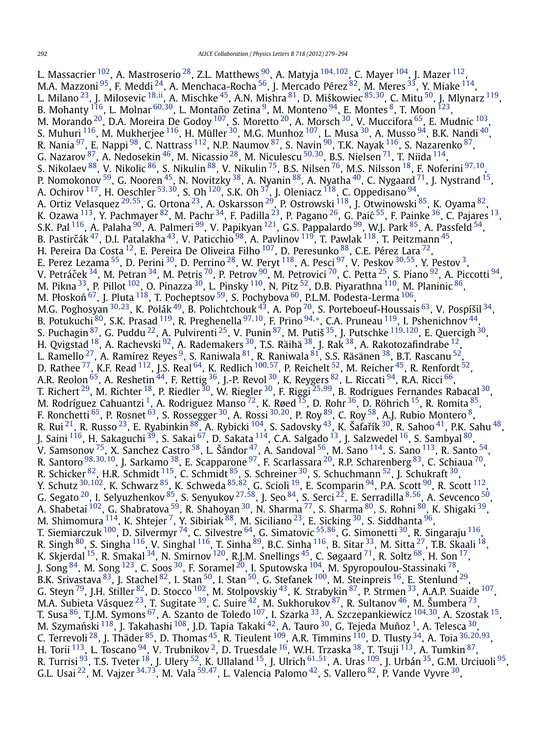L. Massacrier [102,](#page-15-0) A. Mastroserio [28,](#page-14-0) Z.L. Matthews [90,](#page-15-0) A. Matyja [104](#page-15-0)*,*[102,](#page-15-0) C. Mayer [104,](#page-15-0) J. Mazer [112](#page-15-0), M.A. Mazzoni  $^{95}$ , F. Meddi  $^{24}$ , A. Menchaca-Rocha  $^{56}$ , J. Mercado Pérez  $^{82}$ , M. Meres  $^{33}$ , Y. Miake  $^{114},$ L. Milano [23,](#page-14-0) J. Milosevic [18](#page-14-0)*,*[ii,](#page-15-0) A. Mischke [45,](#page-14-0) A.N. Mishra [81,](#page-15-0) D. Miskowiec ´ [85](#page-15-0)*,*[30,](#page-14-0) C. Mitu [50,](#page-14-0) J. Mlynarz [119,](#page-15-0) B. Mohanty [116,](#page-15-0) L. Molnar [60](#page-14-0)*,*[30,](#page-14-0) L. Montaño Zetina [9](#page-14-0), M. Monteno [94,](#page-15-0) E. Montes [8,](#page-14-0) T. Moon [123,](#page-15-0) M. Morando  $^{20}$ , D.A. Moreira De Godoy  $^{107}$ , S. Moretto  $^{20}$ , A. Morsch  $^{30}$ , V. Muccifora  $^{65}$ , E. Mudnic  $^{103},$ S. Muhuri  $^{116}$  $^{116}$  $^{116}$ , M. Mukherjee  $^{116}$ , H. Müller  $^{30}$ , M.G. Munhoz  $^{107}$ , L. Musa  $^{30}$ , A. Musso  $^{94}$  $^{94}$  $^{94}$ , B.K. Nandi  $^{40}$  $^{40}$  $^{40}$ , R. Nania  $^{97}$ , E. Nappi  $^{98}$ , C. Nattrass  $^{112}$  $^{112}$  $^{112}$ , N.P. Naumov  $^{87}$ , S. Navin  $^{90}$ , T.K. Nayak  $^{116}$ , S. Nazarenko  $^{87}$ , G. Nazarov [87,](#page-15-0) A. Nedosekin [46,](#page-14-0) M. Nicassio [28,](#page-14-0) M. Niculescu [50](#page-14-0)*,*[30,](#page-14-0) B.S. Nielsen [71,](#page-15-0) T. Niida [114,](#page-15-0) S. Nikolaev [88,](#page-15-0) V. Nikolic [86,](#page-15-0) S. Nikulin [88,](#page-15-0) V. Nikulin [75,](#page-15-0) B.S. Nilsen [76,](#page-15-0) M.S. Nilsson [18,](#page-14-0) F. Noferini [97](#page-15-0)*,*[10,](#page-14-0) P. Nomokonov <sup>59</sup>, G. Nooren <sup>45</sup>, N. Novitzky <sup>38</sup>, A. Nyanin <sup>88</sup>, A. Nyatha <sup>40</sup>, C. Nygaard <sup>71</sup>, J. Nystrand <sup>15</sup>, A. Ochirov [117,](#page-15-0) H. Oeschler [53](#page-14-0)*,*[30,](#page-14-0) S. Oh [120,](#page-15-0) S.K. Oh [37,](#page-14-0) J. Oleniacz [118,](#page-15-0) C. Oppedisano [94,](#page-15-0) A. Ortiz Velasquez [29](#page-14-0)*,*[55,](#page-14-0) G. Ortona [23,](#page-14-0) A. Oskarsson [29](#page-14-0), P. Ostrowski [118,](#page-15-0) J. Otwinowski [85](#page-15-0), K. Oyama [82,](#page-15-0) K. Ozawa <sup>113</sup>, Y. Pachmayer <sup>82</sup>, M. Pachr <sup>[34](#page-14-0)</sup>, F. Padilla <sup>23</sup>, P. Pagano <sup>26</sup>, G. Paić <sup>55</sup>, F. Painke <sup>36</sup>, C. Pajares <sup>13</sup>, S.K. Pal <sup>116</sup>, A. Palaha <sup>90</sup>, A. Palmeri <sup>[99](#page-15-0)</sup>, V. Papikyan <sup>121</sup>, G.S. Pappalardo <sup>99</sup>, W.J. Park <sup>85</sup>, A. Passfeld <sup>[54](#page-14-0)</sup>, B. Pastirčák $^{47}$  $^{47}$  $^{47}$ , D.I. Patalakha $^{43}$ , V. Paticchio $^{98}$ , A. Pavlinov  $^{119}$ , T. Pawlak  $^{118}$ , T. Peitzmann $^{45}$ , H. Pereira Da Costa $^{12}$ , E. Pereira De Oliveira Filho $^{107}$ , D. Peresunko $^{88}$ , C.E. Pérez Lara $^{72}$  $^{72}$  $^{72}$ , E. Perez Lezama [55,](#page-14-0) D. Perini [30,](#page-14-0) D. Perrino [28,](#page-14-0) W. Peryt [118,](#page-15-0) A. Pesci [97,](#page-15-0) V. Peskov [30](#page-14-0)*,*[55,](#page-14-0) Y. Pestov [3,](#page-14-0) V. Petráček $^{34}$ , M. Petran $^{34}$ , M. Petris $^{70}$ , P. Petrov  $^{90}$ , M. Petrovici  $^{70}$ , C. Petta  $^{25}$ , S. Piano  $^{92}$ , A. Piccotti  $^{94}$ , M. Pikna $^{33}$ , P. Pillot  $^{102}$ , O. Pinazza $^{30}$ , L. Pinsky  $^{110}$ , N. Pitz  $^{52}$ , D.B. Piyarathna  $^{110}$ , M. Planinic  $^{86}$ , M. Płoskoń  $^{67}$ , J. Pluta  $^{118}$ , T. Pocheptsov  $^{59}$ , S. Pochybova  $^{60}$ , P.L.M. Podesta-Lerma  $^{106}$ , M.G. Poghosyan [30](#page-14-0)*,*[23,](#page-14-0) K. Polák [49,](#page-14-0) B. Polichtchouk [43,](#page-14-0) A. Pop [70,](#page-15-0) S. Porteboeuf-Houssais [63,](#page-15-0) V. Pospíšil [34,](#page-14-0) B. Potukuchi [80,](#page-15-0) S.K. Prasad [119,](#page-15-0) R. Preghenella [97](#page-15-0)*,*[10,](#page-14-0) F. Prino [94](#page-15-0)*,*[∗](#page-15-0), C.A. Pruneau [119](#page-15-0), I. Pshenichnov [44,](#page-14-0) S. Puchagin [87,](#page-15-0) G. Puddu [22,](#page-14-0) A. Pulvirenti [25,](#page-14-0) V. Punin [87,](#page-15-0) M. Putiš [35,](#page-14-0) J. Putschke [119](#page-15-0)*,*[120,](#page-15-0) E. Quercigh [30,](#page-14-0) H. Qvigstad  $^{18}$ , A. Rachevski  $^{92}$ , A. Rademakers  $^{30}$ , T.S. Räihä  $^{38}$ , J. Rak  $^{38}$ , A. Rakotozafindrabe  $^{12}$ , L. Ramello <sup>27</sup>, A. Ramírez Reyes <sup>[9](#page-14-0)</sup>, S. Raniwala  $^{81}$  $^{81}$  $^{81}$ , R. Raniwala  $^{81}$ , S.S. Räsänen  $^{38}$ , B.T. Rascanu  $^{52}$ , D. Rathee [77,](#page-15-0) K.F. Read [112,](#page-15-0) J.S. Real [64,](#page-15-0) K. Redlich [100](#page-15-0)*,*[57,](#page-14-0) P. Reichelt [52,](#page-14-0) M. Reicher [45,](#page-14-0) R. Renfordt [52,](#page-14-0) A.R. Reolon  $^{65}$ , A. Reshetin  $^{44}$ , F. Rettig  $^{36}$ , J.-P. Revol  $^{30}$ , K. Reygers  $^{82}$ , L. Riccati  $^{94}$ , R.A. Ricci  $^{66},$ T. Richert [29,](#page-14-0) M. Richter [18,](#page-14-0) P. Riedler [30,](#page-14-0) W. Riegler [30,](#page-14-0) F. Riggi [25](#page-14-0)*,*[99,](#page-15-0) B. Rodrigues Fernandes Rabacal [30,](#page-14-0) M. Rodríguez Cahuantzi  $^1$ , A. Rodriguez Manso  $^{72}$ , K. Røed  $^{15}$  $^{15}$  $^{15}$ , D. Rohr  $^{36}$  $^{36}$  $^{36}$ , D. Röhrich  $^{15}$ , R. Romita  $^{85},$ F. Ronchetti [65](#page-15-0), P. Rosnet [63,](#page-15-0) S. Rossegger [30,](#page-14-0) A. Rossi [30](#page-14-0)*,*[20,](#page-14-0) P. Roy [89,](#page-15-0) C. Roy [58](#page-14-0), A.J. Rubio Montero [8,](#page-14-0) R. Rui <sup>21</sup>, R. Russo <sup>23</sup>, E. Ryabinkin <sup>88</sup>, A. Rybicki <sup>104</sup>, S. Sadovsky <sup>43</sup>, K. Šafařík <sup>30</sup>, R. Sahoo <sup>41</sup>, P.K. Sahu <sup>48</sup>, J. Saini <sup>116</sup>, H. Sakaguchi <sup>39</sup>, S. Sakai <sup>67</sup>, D. Sakata <sup>114</sup>, C.A. Salgado <sup>13</sup>, J. Salzwedel <sup>16</sup>, S. Sambyal <sup>80</sup>, V. Samsonov  $^{75}$ , X. Sanchez Castro  $^{58}$ , L. Šándor  $^{47}$ , A. Sandoval  $^{56}$ , M. Sano  $^{114}$ , S. Sano  $^{113}$ , R. Santo  $^{54}$ , R. Santoro [98](#page-15-0)*,*[30](#page-14-0)*,*[10,](#page-14-0) J. Sarkamo [38,](#page-14-0) E. Scapparone [97,](#page-15-0) F. Scarlassara [20,](#page-14-0) R.P. Scharenberg [83,](#page-15-0) C. Schiaua [70,](#page-15-0) R. Schicker  $^{82}$ , H.R. Schmidt  $^{115}$ , C. Schmidt  $^{85}$ , S. Schreiner  $^{30}$ , S. Schuchmann  $^{52}$ , J. Schukraft  $^{30}$ , Y. Schutz [30](#page-14-0)*,*[102,](#page-15-0) K. Schwarz [85,](#page-15-0) K. Schweda [85](#page-15-0)*,*[82,](#page-15-0) G. Scioli [19,](#page-14-0) E. Scomparin [94,](#page-15-0) P.A. Scott [90,](#page-15-0) R. Scott [112](#page-15-0), G. Segato [20,](#page-14-0) I. Selyuzhenkov [85](#page-15-0), S. Senyukov [27](#page-14-0)*,*[58,](#page-14-0) J. Seo [84,](#page-15-0) S. Serci [22](#page-14-0), E. Serradilla [8](#page-14-0)*,*[56,](#page-14-0) A. Sevcenco [50,](#page-14-0) A. Shabetai <sup>102</sup>, G. Shabratova <sup>59</sup>, R. Shahoyan <sup>30</sup>, N. Sharma <sup>77</sup>, S. Sharma <sup>80</sup>, S. Rohni <sup>80</sup>, K. Shigaki <sup>39</sup>, M. Shimomura  $^{114}$ , K. Shtejer  $^7$  $^7$ , Y. Sibiriak  $^{88}$ , M. Siciliano  $^{23}$ , E. Sicking  $^{30}$ , S. Siddhanta  $^{96}$ , T. Siemiarczuk [100](#page-15-0), D. Silvermyr [74,](#page-15-0) C. Silvestre [64,](#page-15-0) G. Simatovic [55](#page-14-0)*,*[86,](#page-15-0) G. Simonetti [30,](#page-14-0) R. Singaraju [116,](#page-15-0) R. Singh <sup>80</sup>, S. Singha <sup>116</sup>, V. Singhal <sup>116</sup>, T. Sinha <sup>89</sup>, B.C. Sinha <sup>116</sup>, B. Sitar <sup>33</sup>, M. Sitta <sup>[27](#page-14-0)</sup>, T.B. Skaali <sup>18</sup>, K. Skjerdal  $^{15}$ , R. Smakal  $^{34}$ , N. Smirnov  $^{120}$ , R.J.M. Snellings  $^{45}$ , C. Søgaard  $^{71}$ , R. Soltz  $^{68}$ , H. Son  $^{17}$ , J. Song  $^{84}$ , M. Song  $^{123}$ , C. Soos  $^{30}$ , F. Soramel  $^{20}$  $^{20}$  $^{20}$ , I. Sputowska  $^{104}$  $^{104}$  $^{104}$ , M. Spyropoulou-Stassinaki  $^{78}$ , B.K. Srivastava  $^{83}$ , J. Stachel  $^{82}$ , I. Stan  $^{50}$  $^{50}$  $^{50}$ , I. Stan  $^{50}$ , G. Stefanek  $^{100}$ , M. Steinpreis  $^{16}$ , E. Stenlund  $^{29}$ , G. Steyn <sup>79</sup>, J.H. Stiller <sup>82</sup>, D. Stocco <sup>102</sup>, M. Stolpovskiy <sup>43</sup>, K. Strabykin <sup>87</sup>, P. Strmen <sup>33</sup>, A.A.P. Suaide <sup>107</sup>, M.A. Subieta Vásquez $^{23}$ , T. Sugitate $^{39}$ , C. Suire $^{42}$ , M. Sukhorukov $^{87}$ , R. Sultanov $^{46}$ , M. Šumbera $^{73},$ T. Susa [86,](#page-15-0) T.J.M. Symons [67](#page-15-0), A. Szanto de Toledo [107,](#page-15-0) I. Szarka [33](#page-14-0), A. Szczepankiewicz [104](#page-15-0)*,*[30,](#page-14-0) A. Szostak [15,](#page-14-0) M. Szymański  $^{118}$ , J. Takahashi  $^{108}$ , J.D. Tapia Takaki  $^{42}$ , A. Tauro  $^{30}$  $^{30}$  $^{30}$ , G. Tejeda Muñoz  $^1$ , A. Telesca  $^{30}$ , C. Terrevoli [28,](#page-14-0) J. Thäder [85,](#page-15-0) D. Thomas [45,](#page-14-0) R. Tieulent [109,](#page-15-0) A.R. Timmins [110,](#page-15-0) D. Tlusty [34,](#page-14-0) A. Toia [36](#page-14-0)*,*[20](#page-14-0)*,*[93,](#page-15-0) H. Torii  $^{113}$ , L. Toscano  $^{94}$ , V. Trubnikov  $^2$ , D. Truesdale  $^{16}$ , W.H. Trzaska  $^{38}$ , T. Tsuji  $^{113}$ , A. Tumkin  $^{87},$ R. Turrisi [93,](#page-15-0) T.S. Tveter [18,](#page-14-0) J. Ulery [52,](#page-14-0) K. Ullaland [15,](#page-14-0) J. Ulrich [61](#page-15-0)*,*[51,](#page-14-0) A. Uras [109,](#page-15-0) J. Urbán [35,](#page-14-0) G.M. Urciuoli [95,](#page-15-0) G.L. Usai [22,](#page-14-0) M. Vajzer [34](#page-14-0)*,*[73,](#page-15-0) M. Vala [59](#page-14-0)*,*[47,](#page-14-0) L. Valencia Palomo [42,](#page-14-0) S. Vallero [82,](#page-15-0) P. Vande Vyvre [30](#page-14-0),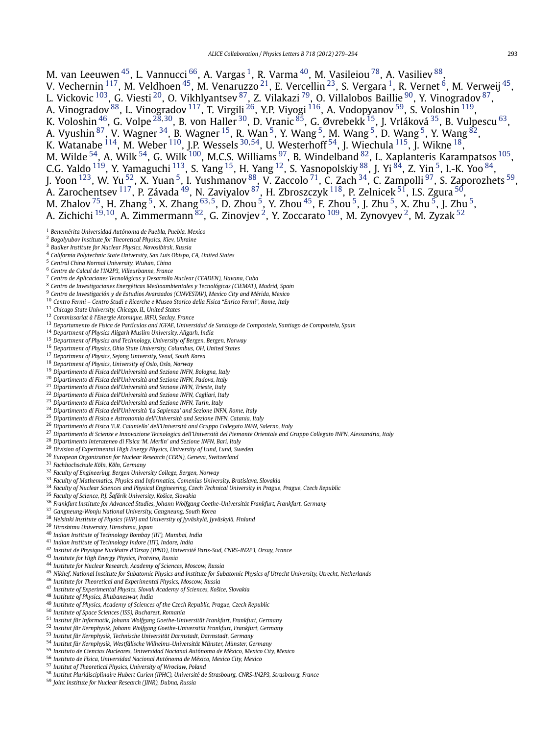<span id="page-14-0"></span>M. van Leeuwen $^{45}$ , L. Vannucci  $^{66}$ , A. Vargas  $^1$ , R. Varma $^{40}$ , M. Vasileiou  $^{78}$  $^{78}$  $^{78}$ , A. Vasiliev  $^{88},$ V. Vechernin  $^{117}$  $^{117}$  $^{117}$ , M. Veldhoen  $^{45}$ , M. Venaruzzo  $^{21}$ , E. Vercellin  $^{23}$ , S. Vergara  $^1$ , R. Vernet  $^6$ , M. Verweij  $^{45}$ , L. Vickovic <sup>103</sup>, G. Viesti <sup>20</sup>, O. Vikhlyantsev <sup>87</sup>, Z. Vilakazi <sup>79</sup>, O. Villalobos Baillie <sup>90</sup>, Y. Vinogradov <sup>87</sup>, A. Vinogradov  $^{88}$ , L. Vinogradov  $^{117}$ , T. Virgili  $^{26}$ , Y.P. Viyogi  $^{116}$ , A. Vodopyanov  $^{59}$ , S. Voloshin  $^{119}$ , K. Voloshin 46, G. Volpe <sup>28</sup>*,*30, B. von Haller 30, D. Vranic [85,](#page-15-0) G. Øvrebekk 15, J. Vrláková 35, B. Vulpescu [63,](#page-15-0) A. Vyushin $^{87}$ , V. Wagner $^{34}$ , B. Wagner $^{15}$ , R. Wan $^5$ , Y. Wang $^5$ , M. Wang $^5$ , D. Wang $^5$ , Y. Wang $^{82}$ , K. Watanabe [114](#page-15-0), M. Weber [110](#page-15-0), J.P. Wessels <sup>30</sup>*,*54, U. Westerhoff 54, J. Wiechula [115,](#page-15-0) J. Wikne 18, M. Wilde  $^{54}$ , A. Wilk  $^{54}$ , G. Wilk  $^{100}$ , M.C.S. Williams  $^{97}$ , B. Windelband  $^{82}$ , L. Xaplanteris Karampatsos  $^{105}$ , C.G. Yaldo  $^{119}$ , Y. Yamaguchi  $^{113}$  $^{113}$  $^{113}$ , S. Yang  $^{15}$ , H. Yang  $^{12}$ , S. Yasnopolskiy  $^{88}$ , J. Yi  $^{84}$ , Z. Yin  $^5$ , I.-K. Yoo  $^{84}$ , J. Yoon  $^{123}$ , W. Yu  $^{52}$ , X. Yuan  $^5$ , I. Yushmanov  $^{88}$ , V. Zaccolo  $^{71}$ , C. Zach  $^{34}$ , C. Zampolli  $^{97}$ , S. Zaporozhets  $^{59}$ , A. Zarochentsev <sup>117</sup>, P. Závada <sup>49</sup>, N. Zaviyalov <sup>87</sup>, H. Zbroszczyk <sup>118</sup>, P. Zelnicek <sup>51</sup>, I.S. Zgura <sup>50</sup>, M. Zhalov [75](#page-15-0), H. Zhang 5, X. Zhang [63](#page-15-0)*,*5, D. Zhou 5, Y. Zhou 45, F. Zhou 5, J. Zhu 5, X. Zhu 5, J. Zhu 5, A. Zichichi <sup>19</sup>*,*10, A. Zimmermann [82,](#page-15-0) G. Zinovjev 2, Y. Zoccarato [109,](#page-15-0) M. Zynovyev 2, M. Zyzak <sup>52</sup>

- *Benemérita Universidad Autónoma de Puebla, Puebla, Mexico*
- *Bogolyubov Institute for Theoretical Physics, Kiev, Ukraine*
- *Budker Institute for Nuclear Physics, Novosibirsk, Russia*
- *California Polytechnic State University, San Luis Obispo, CA, United States*
- *Central China Normal University, Wuhan, China*
- *Centre de Calcul de l'IN2P3, Villeurbanne, France*
- *Centro de Aplicaciones Tecnológicas y Desarrollo Nuclear (CEADEN), Havana, Cuba*
- *Centro de Investigaciones Energéticas Medioambientales y Tecnológicas (CIEMAT), Madrid, Spain*
- *Centro de Investigación y de Estudios Avanzados (CINVESTAV), Mexico City and Mérida, Mexico*
- *Centro Fermi Centro Studi e Ricerche e Museo Storico della Fisica "Enrico Fermi", Rome, Italy*
- *Chicago State University, Chicago, IL, United States*
- *Commissariat à l'Energie Atomique, IRFU, Saclay, France*
- *Departamento de Física de Partículas and IGFAE, Universidad de Santiago de Compostela, Santiago de Compostela, Spain*
- *Department of Physics Aligarh Muslim University, Aligarh, India*
- *Department of Physics and Technology, University of Bergen, Bergen, Norway*
- *Department of Physics, Ohio State University, Columbus, OH, United States*
- *Department of Physics, Sejong University, Seoul, South Korea*
- *Department of Physics, University of Oslo, Oslo, Norway*
- *Dipartimento di Fisica dell'Università and Sezione INFN, Bologna, Italy*
- *Dipartimento di Fisica dell'Università and Sezione INFN, Padova, Italy*
- *Dipartimento di Fisica dell'Università and Sezione INFN, Trieste, Italy*
- *Dipartimento di Fisica dell'Università and Sezione INFN, Cagliari, Italy*
- *Dipartimento di Fisica dell'Università and Sezione INFN, Turin, Italy*
- *Dipartimento di Fisica dell'Università 'La Sapienza' and Sezione INFN, Rome, Italy*
- *Dipartimento di Fisica e Astronomia dell'Università and Sezione INFN, Catania, Italy*
- *Dipartimento di Fisica 'E.R. Caianiello' dell'Università and Gruppo Collegato INFN, Salerno, Italy*
- *Dipartimento di Scienze e Innovazione Tecnologica dell'Università del Piemonte Orientale and Gruppo Collegato INFN, Alessandria, Italy*
- *Dipartimento Interateneo di Fisica 'M. Merlin' and Sezione INFN, Bari, Italy*
- *Division of Experimental High Energy Physics, University of Lund, Lund, Sweden*
- *European Organization for Nuclear Research (CERN), Geneva, Switzerland*
- *Fachhochschule Köln, Köln, Germany*
- *Faculty of Engineering, Bergen University College, Bergen, Norway*
- *Faculty of Mathematics, Physics and Informatics, Comenius University, Bratislava, Slovakia*
- *Faculty of Nuclear Sciences and Physical Engineering, Czech Technical University in Prague, Prague, Czech Republic*
- *Faculty of Science, P.J. Šafárik University, Košice, Slovakia*
- *Frankfurt Institute for Advanced Studies, Johann Wolfgang Goethe-Universität Frankfurt, Frankfurt, Germany*
- *Gangneung-Wonju National University, Gangneung, South Korea*
- *Helsinki Institute of Physics (HIP) and University of Jyväskylä, Jyväskylä, Finland*
- *Hiroshima University, Hiroshima, Japan*
- *Indian Institute of Technology Bombay (IIT), Mumbai, India*
- *Indian Institute of Technology Indore (IIT), Indore, India*
- *Institut de Physique Nucléaire d'Orsay (IPNO), Université Paris-Sud, CNRS-IN2P3, Orsay, France*
- *Institute for High Energy Physics, Protvino, Russia*
- *Institute for Nuclear Research, Academy of Sciences, Moscow, Russia*
- *Nikhef, National Institute for Subatomic Physics and Institute for Subatomic Physics of Utrecht University, Utrecht, Netherlands*
- *Institute for Theoretical and Experimental Physics, Moscow, Russia*
- *Institute of Experimental Physics, Slovak Academy of Sciences, Košice, Slovakia*
- *Institute of Physics, Bhubaneswar, India*
- *Institute of Physics, Academy of Sciences of the Czech Republic, Prague, Czech Republic*
- *Institute of Space Sciences (ISS), Bucharest, Romania*
- *Institut für Informatik, Johann Wolfgang Goethe-Universität Frankfurt, Frankfurt, Germany*
- *Institut für Kernphysik, Johann Wolfgang Goethe-Universität Frankfurt, Frankfurt, Germany*
- *Institut für Kernphysik, Technische Universität Darmstadt, Darmstadt, Germany*
- *Institut für Kernphysik, Westfälische Wilhelms-Universität Münster, Münster, Germany*
- *Instituto de Ciencias Nucleares, Universidad Nacional Autónoma de México, Mexico City, Mexico*
- *Instituto de Física, Universidad Nacional Autónoma de México, Mexico City, Mexico*
- *Institut of Theoretical Physics, University of Wroclaw, Poland*
- *Institut Pluridisciplinaire Hubert Curien (IPHC), Université de Strasbourg, CNRS-IN2P3, Strasbourg, France*
- *Joint Institute for Nuclear Research (JINR), Dubna, Russia*